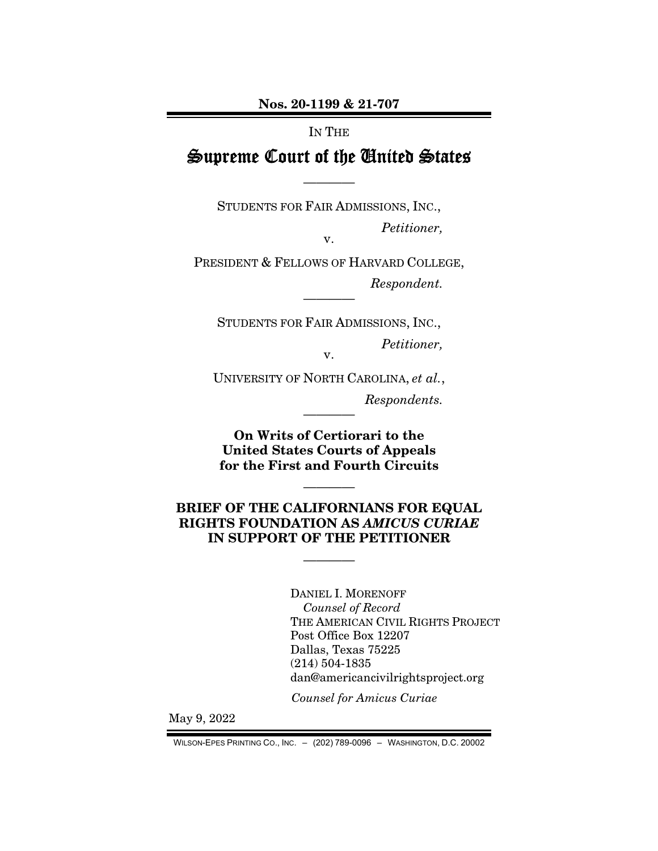Nos. 20-1199 & 21-707

### IN THE

# Supreme Court of the United States

————

STUDENTS FOR FAIR ADMISSIONS, INC., *Petitioner,* 

v.

PRESIDENT & FELLOWS OF HARVARD COLLEGE, *Respondent.* 

————

STUDENTS FOR FAIR ADMISSIONS, INC., *Petitioner,*  v.

UNIVERSITY OF NORTH CAROLINA, *et al.*,

*Respondents.* 

On Writs of Certiorari to the United States Courts of Appeals for the First and Fourth Circuits

————

## BRIEF OF THE CALIFORNIANS FOR EQUAL RIGHTS FOUNDATION AS *AMICUS CURIAE* IN SUPPORT OF THE PETITIONER

————

————

 DANIEL I. MORENOFF *Counsel of Record*  THE AMERICAN CIVIL RIGHTS PROJECT Post Office Box 12207 Dallas, Texas 75225 (214) 504-1835 dan@americancivilrightsproject.org

*Counsel for Amicus Curiae* 

May 9, 2022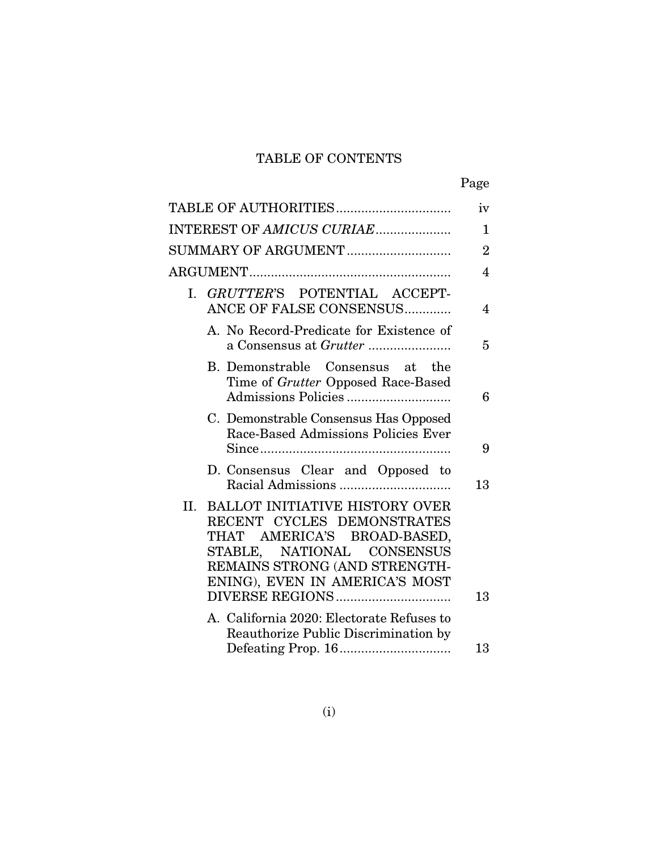# TABLE OF CONTENTS

| ۰, |
|----|
|----|

| TABLE OF AUTHORITIES                                                                                                                                                                             | iv             |
|--------------------------------------------------------------------------------------------------------------------------------------------------------------------------------------------------|----------------|
| INTEREST OF AMICUS CURIAE                                                                                                                                                                        | $\mathbf{1}$   |
| SUMMARY OF ARGUMENT                                                                                                                                                                              | $\overline{2}$ |
|                                                                                                                                                                                                  | 4              |
| I. GRUTTER'S POTENTIAL ACCEPT-<br>ANCE OF FALSE CONSENSUS                                                                                                                                        | $\overline{4}$ |
| A. No Record-Predicate for Existence of<br>a Consensus at <i>Grutter </i>                                                                                                                        | 5              |
| B. Demonstrable Consensus at the<br>Time of Grutter Opposed Race-Based                                                                                                                           | 6              |
| C. Demonstrable Consensus Has Opposed<br>Race-Based Admissions Policies Ever                                                                                                                     | 9              |
| D. Consensus Clear and Opposed to                                                                                                                                                                | 13             |
| II. BALLOT INITIATIVE HISTORY OVER<br>RECENT CYCLES DEMONSTRATES<br>THAT AMERICA'S BROAD-BASED,<br>STABLE, NATIONAL CONSENSUS<br>REMAINS STRONG (AND STRENGTH-<br>ENING), EVEN IN AMERICA'S MOST | 13             |
| A. California 2020: Electorate Refuses to<br>Reauthorize Public Discrimination by                                                                                                                |                |
|                                                                                                                                                                                                  | 13             |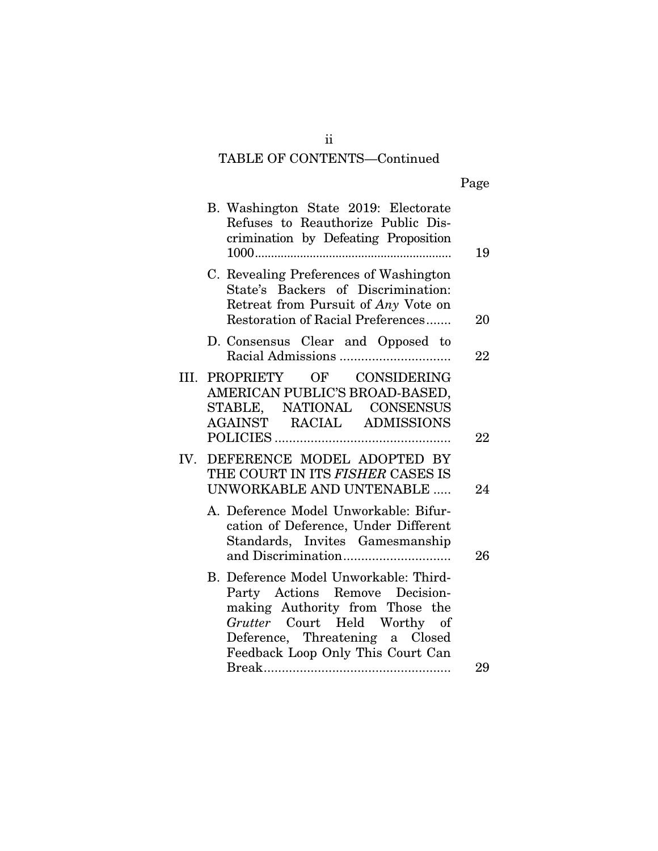# TABLE OF CONTENTS—Continued

| Page |
|------|
|      |

|     | B. Washington State 2019: Electorate<br>Refuses to Reauthorize Public Dis-<br>crimination by Defeating Proposition                                                                                                 | 19 |
|-----|--------------------------------------------------------------------------------------------------------------------------------------------------------------------------------------------------------------------|----|
|     | C. Revealing Preferences of Washington<br>State's Backers of Discrimination:<br>Retreat from Pursuit of Any Vote on<br>Restoration of Racial Preferences                                                           | 20 |
|     | D. Consensus Clear and Opposed to                                                                                                                                                                                  | 22 |
|     | III. PROPRIETY OF CONSIDERING<br>AMERICAN PUBLIC'S BROAD-BASED,<br>STABLE, NATIONAL CONSENSUS<br>AGAINST RACIAL ADMISSIONS                                                                                         | 22 |
| IV. | DEFERENCE MODEL ADOPTED BY<br>THE COURT IN ITS FISHER CASES IS<br>UNWORKABLE AND UNTENABLE                                                                                                                         | 24 |
|     | A. Deference Model Unworkable: Bifur-<br>cation of Deference, Under Different<br>Standards, Invites Gamesmanship                                                                                                   | 26 |
|     | B. Deference Model Unworkable: Third-<br>Party Actions Remove Decision-<br>making Authority from Those the<br>Grutter Court Held Worthy of<br>Deference, Threatening a Closed<br>Feedback Loop Only This Court Can |    |
|     |                                                                                                                                                                                                                    | 29 |

ii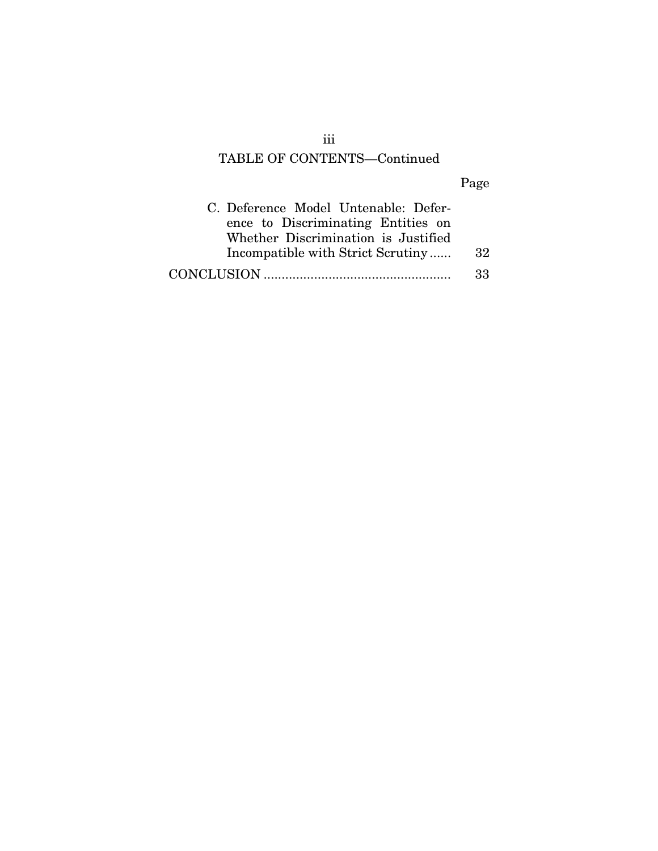# TABLE OF CONTENTS—Continued

# Page

| C. Deference Model Untenable: Defer- |     |
|--------------------------------------|-----|
| ence to Discriminating Entities on   |     |
| Whether Discrimination is Justified  |     |
| Incompatible with Strict Scrutiny    | -32 |
|                                      | 33  |

iii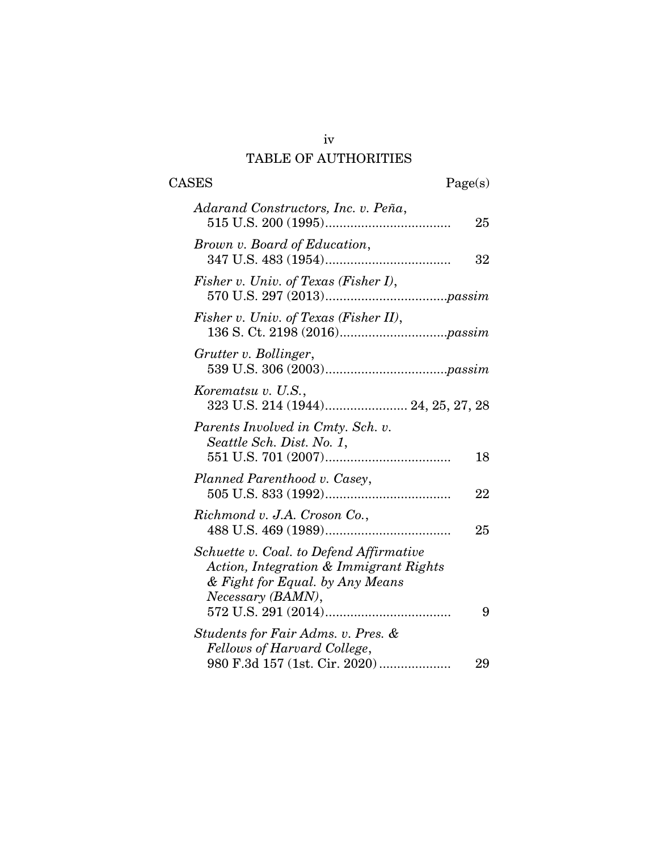# iv TABLE OF AUTHORITIES

| <b>CASES</b>                                                                                                                              | Page(s) |
|-------------------------------------------------------------------------------------------------------------------------------------------|---------|
| Adarand Constructors, Inc. v. Peña,                                                                                                       | 25      |
| Brown v. Board of Education,                                                                                                              | 32      |
| Fisher v. Univ. of Texas (Fisher I),                                                                                                      |         |
| Fisher v. Univ. of Texas (Fisher II),                                                                                                     |         |
| Grutter v. Bollinger,                                                                                                                     |         |
| Korematsu v. U.S.,<br>323 U.S. 214 (1944) 24, 25, 27, 28                                                                                  |         |
| Parents Involved in Cmty. Sch. v.<br>Seattle Sch. Dist. No. 1,                                                                            | 18      |
| Planned Parenthood v. Casey,                                                                                                              | 22      |
| Richmond v. J.A. Croson Co.,                                                                                                              | 25      |
| Schuette v. Coal. to Defend Affirmative<br>Action, Integration & Immigrant Rights<br>& Fight for Equal. by Any Means<br>Necessary (BAMN), | 9       |
| Students for Fair Adms. v. Pres. &<br>Fellows of Harvard College,                                                                         |         |
| 980 F.3d 157 (1st. Cir. 2020)                                                                                                             | 29      |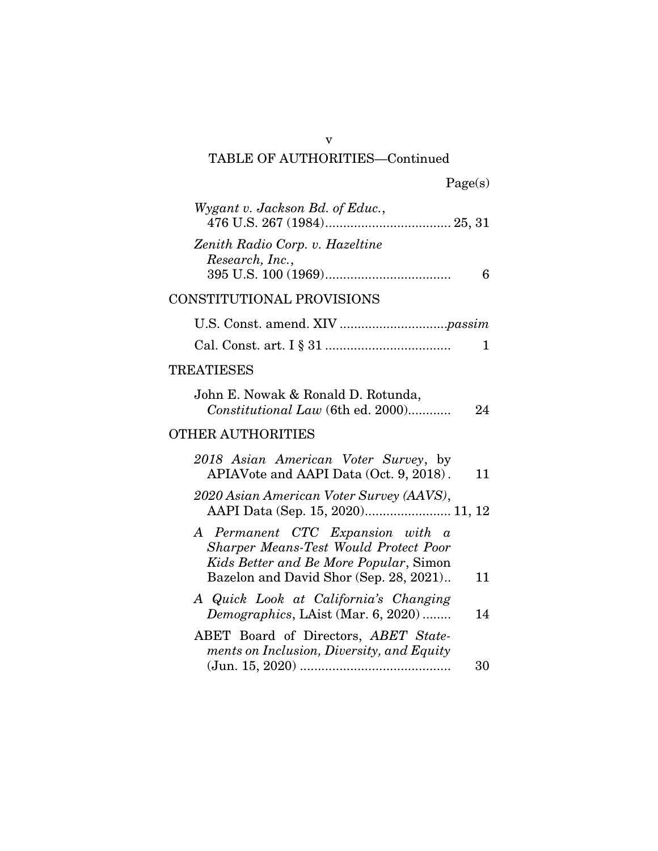| Wygant v. Jackson Bd. of Educ.,                                                                                            |              |
|----------------------------------------------------------------------------------------------------------------------------|--------------|
| Zenith Radio Corp. v. Hazeltine<br>Research, Inc.,                                                                         | 6            |
| CONSTITUTIONAL PROVISIONS                                                                                                  |              |
|                                                                                                                            |              |
|                                                                                                                            | $\mathbf{1}$ |
| <b>TREATIESES</b>                                                                                                          |              |
| John E. Nowak & Ronald D. Rotunda,<br>Constitutional Law (6th ed. 2000)                                                    | 24           |
| <b>OTHER AUTHORITIES</b>                                                                                                   |              |
| 2018 Asian American Voter Survey, by<br>APIAVote and AAPI Data (Oct. 9, 2018).                                             | 11           |
| 2020 Asian American Voter Survey (AAVS),<br>AAPI Data (Sep. 15, 2020) 11, 12                                               |              |
| A Permanent CTC Expansion with a<br><b>Sharper Means-Test Would Protect Poor</b><br>Kids Better and Be More Popular, Simon |              |
| Bazelon and David Shor (Sep. 28, 2021)                                                                                     | 11           |
| A Quick Look at California's Changing<br>Demographics, LAist (Mar. 6, 2020)                                                | 14           |
| ABET Board of Directors, ABET State-<br>ments on Inclusion, Diversity, and Equity                                          |              |
|                                                                                                                            | 30           |

v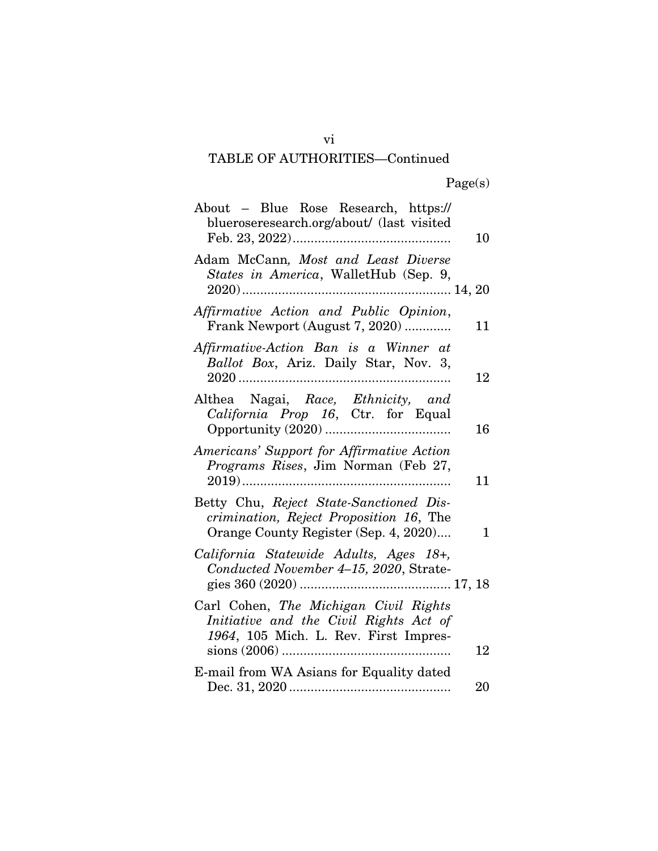| About – Blue Rose Research, https://<br>blueroseresearch.org/about/ (last visited                                           | 10       |
|-----------------------------------------------------------------------------------------------------------------------------|----------|
| Adam McCann, Most and Least Diverse<br>States in America, WalletHub (Sep. 9,                                                |          |
| Affirmative Action and Public Opinion,<br>Frank Newport (August 7, 2020)                                                    | 11       |
| Affirmative-Action Ban is a Winner at<br>Ballot Box, Ariz. Daily Star, Nov. 3,                                              | 12       |
| Althea Nagai, Race, Ethnicity, and<br>California Prop 16, Ctr. for Equal                                                    | 16       |
| Americans' Support for Affirmative Action<br>Programs Rises, Jim Norman (Feb 27,<br>$2019)$                                 | 11       |
| Betty Chu, Reject State-Sanctioned Dis-<br>crimination, Reject Proposition 16, The<br>Orange County Register (Sep. 4, 2020) | 1        |
| California Statewide Adults, Ages 18+,<br>Conducted November 4-15, 2020, Strate-                                            |          |
| Carl Cohen, The Michigan Civil Rights<br>Initiative and the Civil Rights Act of<br>1964, 105 Mich. L. Rev. First Impres-    |          |
| E-mail from WA Asians for Equality dated                                                                                    | 12<br>20 |
|                                                                                                                             |          |

vi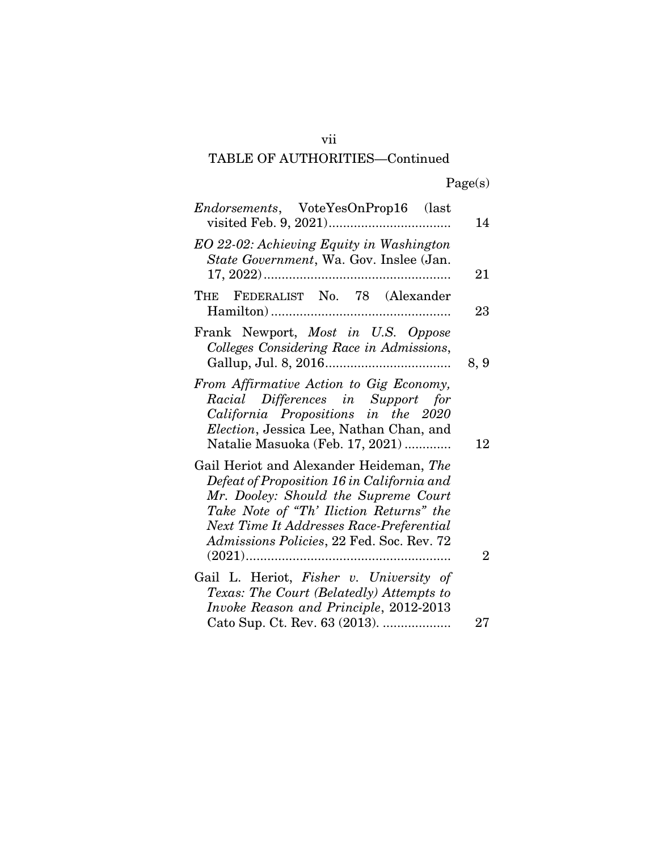| <i>Endorsements</i> , VoteYesOnProp16 (last                                                                                                                                                                                                                       | 14             |
|-------------------------------------------------------------------------------------------------------------------------------------------------------------------------------------------------------------------------------------------------------------------|----------------|
| EO 22-02: Achieving Equity in Washington<br>State Government, Wa. Gov. Inslee (Jan.                                                                                                                                                                               | 21             |
| FEDERALIST No. 78 (Alexander<br>THE                                                                                                                                                                                                                               | 23             |
| Frank Newport, <i>Most in U.S. Oppose</i><br>Colleges Considering Race in Admissions,                                                                                                                                                                             | 8, 9           |
| From Affirmative Action to Gig Economy,<br>Racial Differences in Support for<br>California Propositions in the 2020<br>Election, Jessica Lee, Nathan Chan, and<br>Natalie Masuoka (Feb. 17, 2021)                                                                 | 12             |
| Gail Heriot and Alexander Heideman, The<br>Defeat of Proposition 16 in California and<br>Mr. Dooley: Should the Supreme Court<br>Take Note of "Th' Iliction Returns" the<br>Next Time It Addresses Race-Preferential<br>Admissions Policies, 22 Fed. Soc. Rev. 72 |                |
|                                                                                                                                                                                                                                                                   | $\overline{2}$ |
| Gail L. Heriot, <i>Fisher v. University of</i>                                                                                                                                                                                                                    |                |
| Texas: The Court (Belatedly) Attempts to<br>Invoke Reason and Principle, 2012-2013                                                                                                                                                                                |                |
| Cato Sup. Ct. Rev. 63 (2013).                                                                                                                                                                                                                                     | 27             |

vii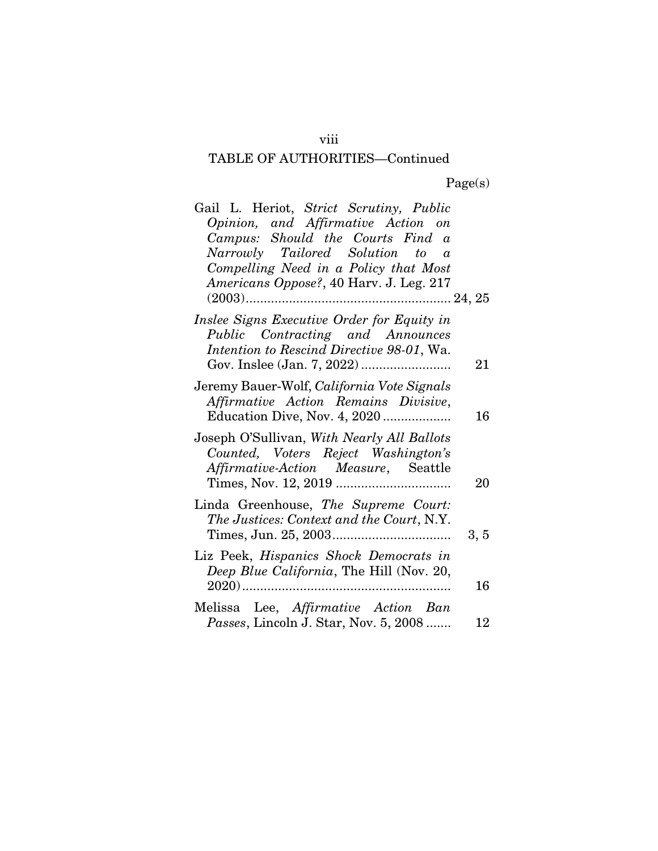| Gail L. Heriot, Strict Scrutiny, Public<br>Opinion, and Affirmative Action on<br>Campus: Should the Courts Find a<br>Narrowly Tailored Solution to a<br>Compelling Need in a Policy that Most<br>Americans Oppose?, 40 Harv. J. Leg. 217 |      |
|------------------------------------------------------------------------------------------------------------------------------------------------------------------------------------------------------------------------------------------|------|
|                                                                                                                                                                                                                                          |      |
| Inslee Signs Executive Order for Equity in<br>Public Contracting and Announces<br>Intention to Rescind Directive 98-01, Wa.                                                                                                              | 21   |
| Jeremy Bauer-Wolf, California Vote Signals<br>Affirmative Action Remains Divisive,<br>Education Dive, Nov. 4, 2020                                                                                                                       | 16   |
| Joseph O'Sullivan, With Nearly All Ballots<br>Counted, Voters Reject Washington's<br>Affirmative-Action Measure, Seattle                                                                                                                 | 20   |
| Linda Greenhouse, The Supreme Court:<br>The Justices: Context and the Court, N.Y.                                                                                                                                                        | 3, 5 |
| Liz Peek, Hispanics Shock Democrats in<br>Deep Blue California, The Hill (Nov. 20,                                                                                                                                                       | 16   |
| Melissa Lee, Affirmative Action Ban<br><i>Passes</i> , Lincoln J. Star, Nov. 5, 2008                                                                                                                                                     | 12   |

viii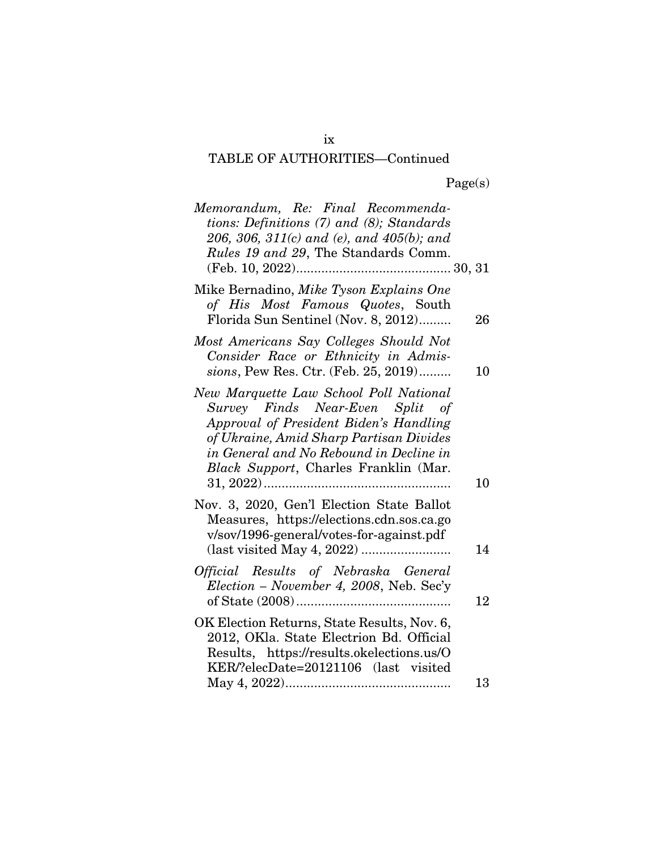| Memorandum, Re: Final Recommenda-<br>tions: Definitions (7) and (8); Standards<br>206, 306, 311(c) and (e), and 405(b); and<br>Rules 19 and 29, The Standards Comm.                                                                                |    |
|----------------------------------------------------------------------------------------------------------------------------------------------------------------------------------------------------------------------------------------------------|----|
| Mike Bernadino, Mike Tyson Explains One<br>of His Most Famous Quotes, South<br>Florida Sun Sentinel (Nov. 8, 2012)                                                                                                                                 | 26 |
| Most Americans Say Colleges Should Not<br>Consider Race or Ethnicity in Admis-<br>sions, Pew Res. Ctr. (Feb. 25, 2019)                                                                                                                             | 10 |
| New Marquette Law School Poll National<br>Survey Finds Near-Even Split of<br>Approval of President Biden's Handling<br>of Ukraine, Amid Sharp Partisan Divides<br>in General and No Rebound in Decline in<br>Black Support, Charles Franklin (Mar. | 10 |
| Nov. 3, 2020, Gen'l Election State Ballot<br>Measures, https://elections.cdn.sos.ca.go<br>v/sov/1996-general/votes-for-against.pdf                                                                                                                 | 14 |
| Official Results of Nebraska General<br>Election - November 4, 2008, Neb. Sec'y                                                                                                                                                                    | 12 |
| OK Election Returns, State Results, Nov. 6,<br>2012, OKla. State Electrion Bd. Official<br>Results, https://results.okelections.us/O<br>KER/?elecDate=20121106 (last visited                                                                       |    |
|                                                                                                                                                                                                                                                    | 13 |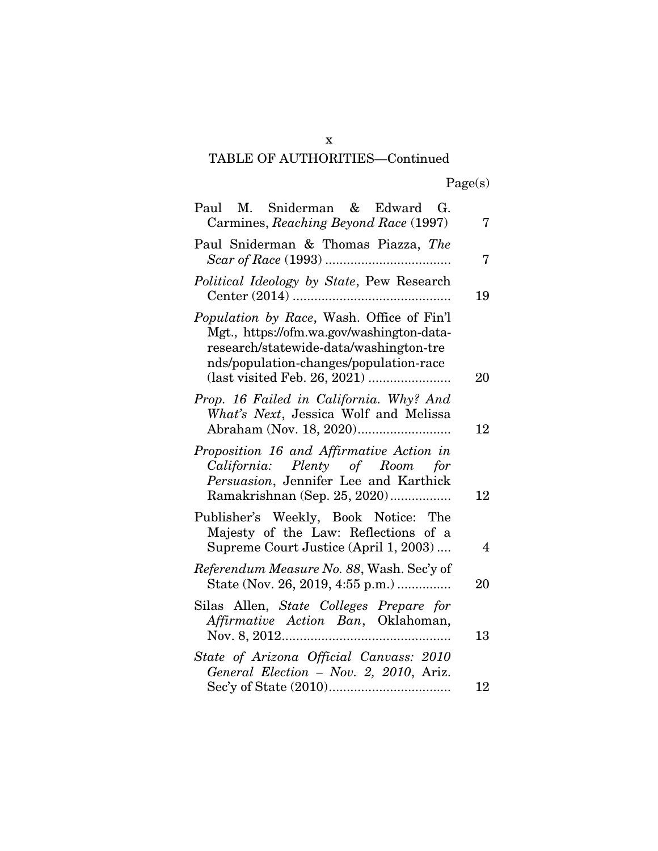Page(s)

| Paul M. Sniderman & Edward G.<br>Carmines, Reaching Beyond Race (1997)                                                                                                     | 7  |
|----------------------------------------------------------------------------------------------------------------------------------------------------------------------------|----|
| Paul Sniderman & Thomas Piazza, The                                                                                                                                        | 7  |
| Political Ideology by State, Pew Research                                                                                                                                  | 19 |
| Population by Race, Wash. Office of Fin'l<br>Mgt., https://ofm.wa.gov/washington-data-<br>research/statewide-data/washington-tre<br>nds/population-changes/population-race | 20 |
| Prop. 16 Failed in California. Why? And<br>What's Next, Jessica Wolf and Melissa                                                                                           | 12 |
| Proposition 16 and Affirmative Action in<br>California: Plenty of Room for<br>Persuasion, Jennifer Lee and Karthick<br>Ramakrishnan (Sep. 25, 2020)                        | 12 |
| Publisher's Weekly, Book Notice: The<br>Majesty of the Law: Reflections of a<br>Supreme Court Justice (April 1, 2003)                                                      | 4  |
| Referendum Measure No. 88, Wash. Sec'y of<br>State (Nov. 26, 2019, 4:55 p.m.)                                                                                              | 20 |
| Silas Allen, State Colleges Prepare for<br>Affirmative Action Ban, Oklahoman,                                                                                              | 13 |
| State of Arizona Official Canvass: 2010<br>General Election - Nov. 2, 2010, Ariz.                                                                                          | 12 |

x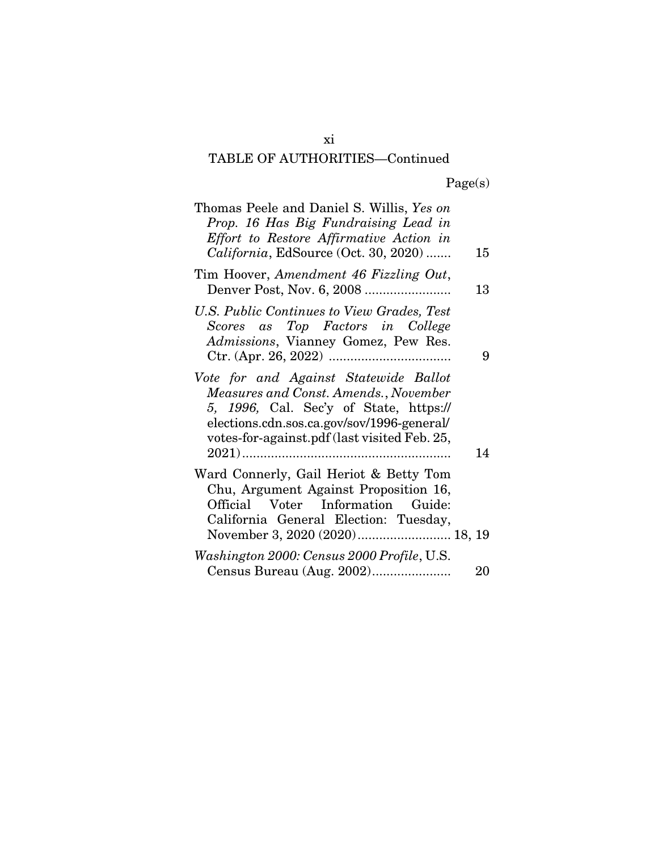| Thomas Peele and Daniel S. Willis, Yes on<br>Prop. 16 Has Big Fundraising Lead in<br>Effort to Restore Affirmative Action in<br>California, EdSource (Oct. 30, 2020)                                                   | 15 |
|------------------------------------------------------------------------------------------------------------------------------------------------------------------------------------------------------------------------|----|
| Tim Hoover, Amendment 46 Fizzling Out,                                                                                                                                                                                 | 13 |
| U.S. Public Continues to View Grades, Test<br>Scores as Top Factors in College<br>Admissions, Vianney Gomez, Pew Res.                                                                                                  | 9  |
| Vote for and Against Statewide Ballot<br>Measures and Const. Amends., November<br>5, 1996, Cal. Sec'y of State, https://<br>elections.cdn.sos.ca.gov/sov/1996-general/<br>votes-for-against.pdf (last visited Feb. 25, | 14 |
| Ward Connerly, Gail Heriot & Betty Tom<br>Chu, Argument Against Proposition 16,<br>Official Voter Information Guide:<br>California General Election: Tuesday,<br>November 3, 2020 (2020) 18, 19                        |    |
| Washington 2000: Census 2000 Profile, U.S.<br>Census Bureau (Aug. 2002)                                                                                                                                                | 20 |

xi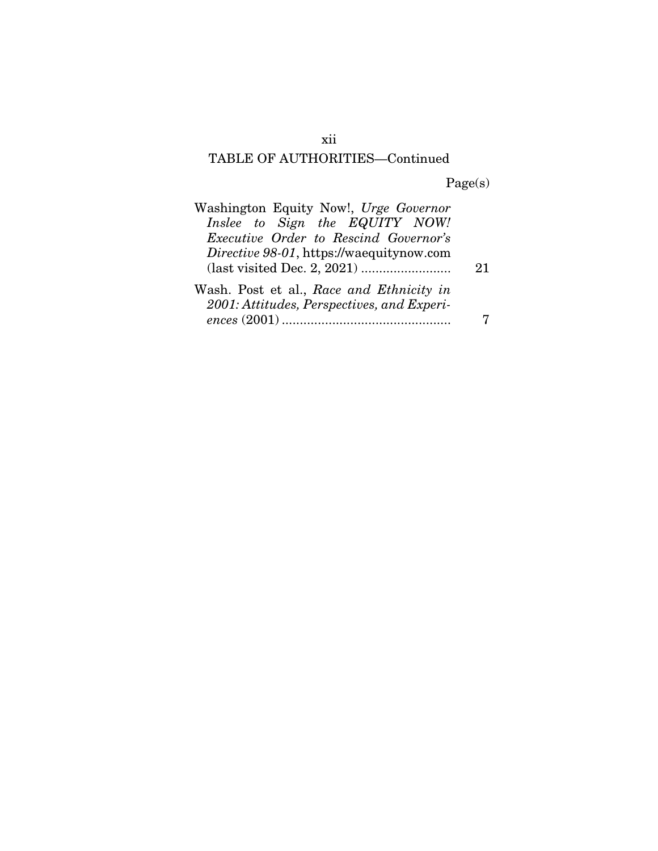Page(s)

| Washington Equity Now!, Urge Governor                                                  |    |
|----------------------------------------------------------------------------------------|----|
| Inslee to Sign the EQUITY NOW!                                                         |    |
| <i>Executive Order to Rescind Governor's</i>                                           |    |
| Directive 98-01, https://waequitynow.com                                               |    |
|                                                                                        | 21 |
| Wash. Post et al., Race and Ethnicity in<br>2001: Attitudes, Perspectives, and Experi- |    |
|                                                                                        |    |

xii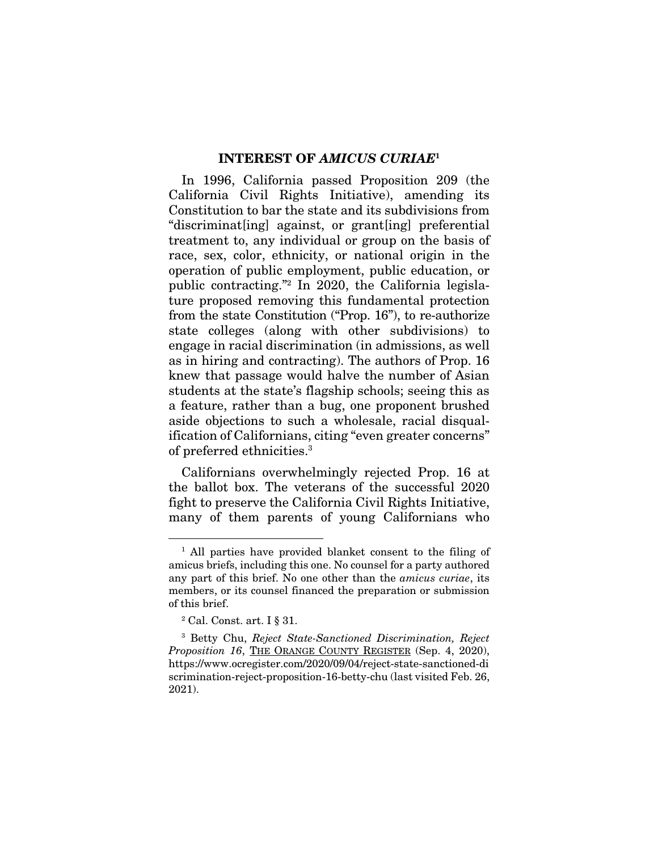#### INTEREST OF *AMICUS CURIAE*<sup>1</sup>

In 1996, California passed Proposition 209 (the California Civil Rights Initiative), amending its Constitution to bar the state and its subdivisions from "discriminat[ing] against, or grant[ing] preferential treatment to, any individual or group on the basis of race, sex, color, ethnicity, or national origin in the operation of public employment, public education, or public contracting."2 In 2020, the California legislature proposed removing this fundamental protection from the state Constitution ("Prop. 16"), to re-authorize state colleges (along with other subdivisions) to engage in racial discrimination (in admissions, as well as in hiring and contracting). The authors of Prop. 16 knew that passage would halve the number of Asian students at the state's flagship schools; seeing this as a feature, rather than a bug, one proponent brushed aside objections to such a wholesale, racial disqualification of Californians, citing "even greater concerns" of preferred ethnicities.3

Californians overwhelmingly rejected Prop. 16 at the ballot box. The veterans of the successful 2020 fight to preserve the California Civil Rights Initiative, many of them parents of young Californians who

<sup>&</sup>lt;sup>1</sup> All parties have provided blanket consent to the filing of amicus briefs, including this one. No counsel for a party authored any part of this brief. No one other than the *amicus curiae*, its members, or its counsel financed the preparation or submission of this brief.

<sup>2</sup> Cal. Const. art. I § 31.

<sup>3</sup> Betty Chu, *Reject State-Sanctioned Discrimination, Reject Proposition 16*, THE ORANGE COUNTY REGISTER (Sep. 4, 2020), https://www.ocregister.com/2020/09/04/reject-state-sanctioned-di scrimination-reject-proposition-16-betty-chu (last visited Feb. 26, 2021).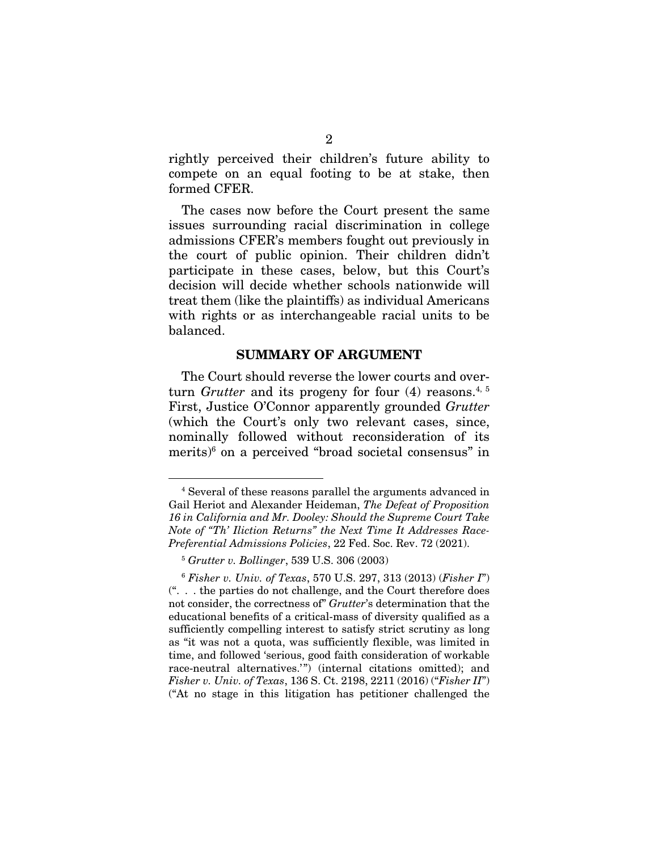rightly perceived their children's future ability to compete on an equal footing to be at stake, then formed CFER.

The cases now before the Court present the same issues surrounding racial discrimination in college admissions CFER's members fought out previously in the court of public opinion. Their children didn't participate in these cases, below, but this Court's decision will decide whether schools nationwide will treat them (like the plaintiffs) as individual Americans with rights or as interchangeable racial units to be balanced.

#### SUMMARY OF ARGUMENT

The Court should reverse the lower courts and overturn *Grutter* and its progeny for four (4) reasons.<sup>4, 5</sup> First, Justice O'Connor apparently grounded *Grutter*  (which the Court's only two relevant cases, since, nominally followed without reconsideration of its merits)<sup>6</sup> on a perceived "broad societal consensus" in

<sup>4</sup> Several of these reasons parallel the arguments advanced in Gail Heriot and Alexander Heideman, *The Defeat of Proposition 16 in California and Mr. Dooley: Should the Supreme Court Take Note of "Th' Iliction Returns" the Next Time It Addresses Race-Preferential Admissions Policies*, 22 Fed. Soc. Rev. 72 (2021).

<sup>5</sup> *Grutter v. Bollinger*, 539 U.S. 306 (2003)

<sup>6</sup> *Fisher v. Univ. of Texas*, 570 U.S. 297, 313 (2013) (*Fisher I*") (". . . the parties do not challenge, and the Court therefore does not consider, the correctness of" *Grutter*'s determination that the educational benefits of a critical-mass of diversity qualified as a sufficiently compelling interest to satisfy strict scrutiny as long as "it was not a quota, was sufficiently flexible, was limited in time, and followed 'serious, good faith consideration of workable race-neutral alternatives.") (internal citations omitted); and *Fisher v. Univ. of Texas*, 136 S. Ct. 2198, 2211 (2016) ("*Fisher II*") ("At no stage in this litigation has petitioner challenged the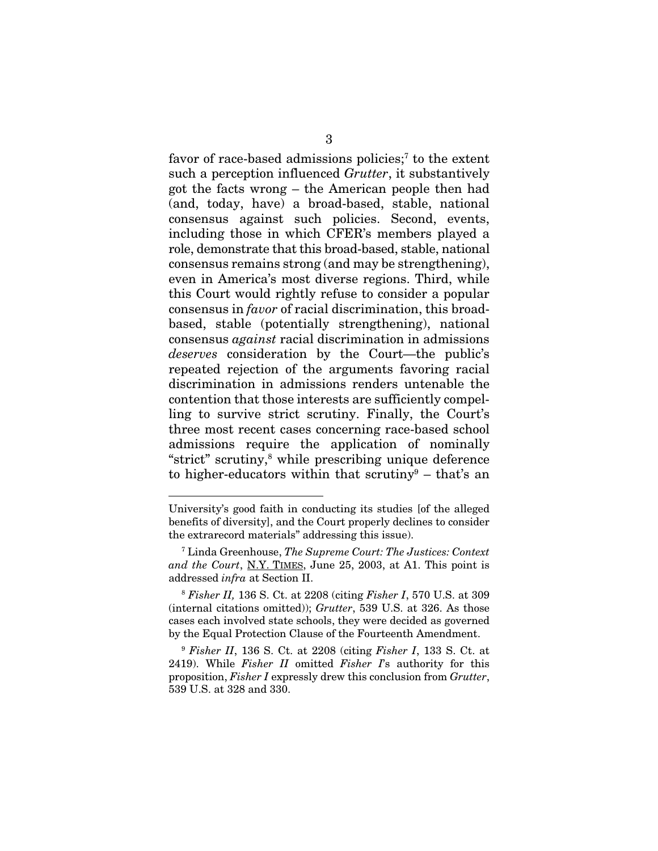favor of race-based admissions policies;<sup>7</sup> to the extent such a perception influenced *Grutter*, it substantively got the facts wrong – the American people then had (and, today, have) a broad-based, stable, national consensus against such policies. Second, events, including those in which CFER's members played a role, demonstrate that this broad-based, stable, national consensus remains strong (and may be strengthening), even in America's most diverse regions. Third, while this Court would rightly refuse to consider a popular consensus in *favor* of racial discrimination, this broadbased, stable (potentially strengthening), national consensus *against* racial discrimination in admissions *deserves* consideration by the Court—the public's repeated rejection of the arguments favoring racial discrimination in admissions renders untenable the contention that those interests are sufficiently compelling to survive strict scrutiny. Finally, the Court's three most recent cases concerning race-based school admissions require the application of nominally "strict" scrutiny,8 while prescribing unique deference to higher-educators within that scrutiny<sup>9</sup> – that's an

University's good faith in conducting its studies [of the alleged benefits of diversity], and the Court properly declines to consider the extrarecord materials" addressing this issue).

<sup>7</sup> Linda Greenhouse, *The Supreme Court: The Justices: Context and the Court*, N.Y. TIMES, June 25, 2003, at A1. This point is addressed *infra* at Section II.

<sup>8</sup> *Fisher II,* 136 S. Ct. at 2208 (citing *Fisher I*, 570 U.S. at 309 (internal citations omitted)); *Grutter*, 539 U.S. at 326. As those cases each involved state schools, they were decided as governed by the Equal Protection Clause of the Fourteenth Amendment.

<sup>9</sup> *Fisher II*, 136 S. Ct. at 2208 (citing *Fisher I*, 133 S. Ct. at 2419). While *Fisher II* omitted *Fisher I*'s authority for this proposition, *Fisher I* expressly drew this conclusion from *Grutter*, 539 U.S. at 328 and 330.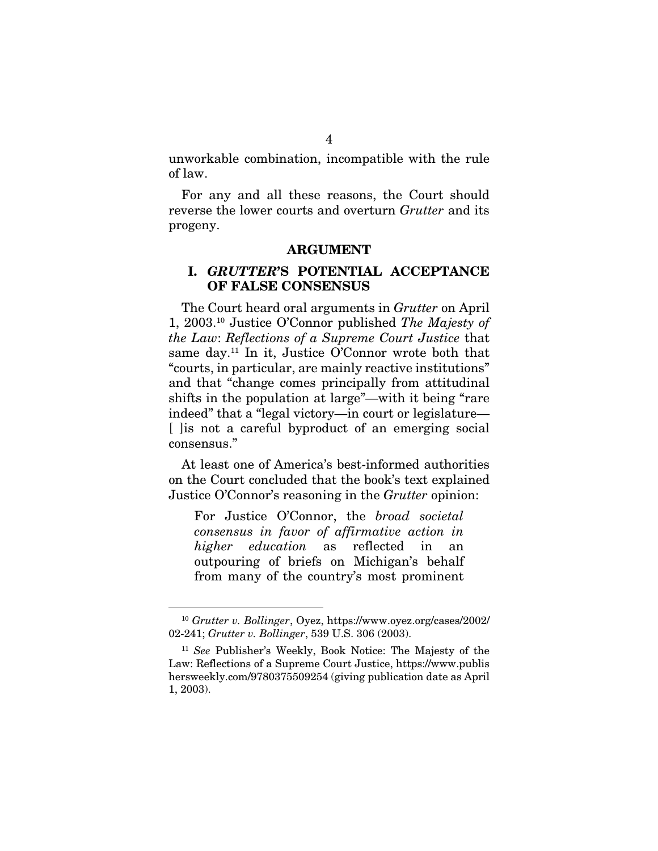unworkable combination, incompatible with the rule of law.

For any and all these reasons, the Court should reverse the lower courts and overturn *Grutter* and its progeny.

#### ARGUMENT

#### I. *GRUTTER*'S POTENTIAL ACCEPTANCE OF FALSE CONSENSUS

The Court heard oral arguments in *Grutter* on April 1, 2003.10 Justice O'Connor published *The Majesty of the Law*: *Reflections of a Supreme Court Justice* that same day.<sup>11</sup> In it, Justice O'Connor wrote both that "courts, in particular, are mainly reactive institutions" and that "change comes principally from attitudinal shifts in the population at large"—with it being "rare indeed" that a "legal victory—in court or legislature— [ ] lis not a careful byproduct of an emerging social consensus."

At least one of America's best-informed authorities on the Court concluded that the book's text explained Justice O'Connor's reasoning in the *Grutter* opinion:

For Justice O'Connor, the *broad societal consensus in favor of affirmative action in higher education* as reflected in an outpouring of briefs on Michigan's behalf from many of the country's most prominent

<sup>10</sup> *Grutter v. Bollinger*, Oyez, https://www.oyez.org/cases/2002/ 02-241; *Grutter v. Bollinger*, 539 U.S. 306 (2003).

<sup>11</sup> *See* Publisher's Weekly, Book Notice: The Majesty of the Law: Reflections of a Supreme Court Justice, https://www.publis hersweekly.com/9780375509254 (giving publication date as April 1, 2003).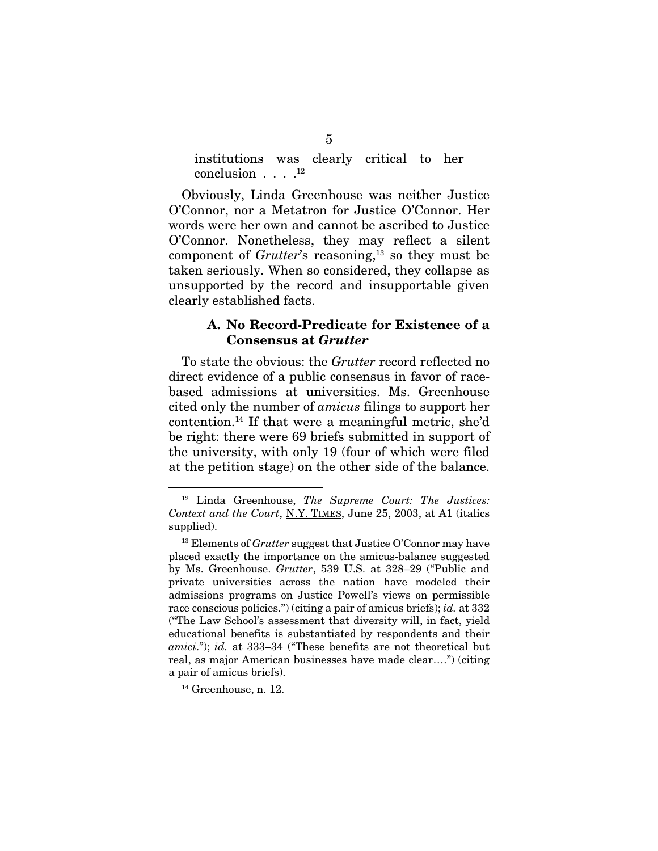institutions was clearly critical to her conclusion . . . . 12

Obviously, Linda Greenhouse was neither Justice O'Connor, nor a Metatron for Justice O'Connor. Her words were her own and cannot be ascribed to Justice O'Connor. Nonetheless, they may reflect a silent component of *Grutter*'s reasoning,<sup>13</sup> so they must be taken seriously. When so considered, they collapse as unsupported by the record and insupportable given clearly established facts.

### A. No Record-Predicate for Existence of a Consensus at *Grutter*

To state the obvious: the *Grutter* record reflected no direct evidence of a public consensus in favor of racebased admissions at universities. Ms. Greenhouse cited only the number of *amicus* filings to support her contention.14 If that were a meaningful metric, she'd be right: there were 69 briefs submitted in support of the university, with only 19 (four of which were filed at the petition stage) on the other side of the balance.

<sup>12</sup> Linda Greenhouse, *The Supreme Court: The Justices: Context and the Court*, N.Y. TIMES, June 25, 2003, at A1 (italics supplied).

<sup>&</sup>lt;sup>13</sup> Elements of *Grutter* suggest that Justice O'Connor may have placed exactly the importance on the amicus-balance suggested by Ms. Greenhouse. *Grutter*, 539 U.S. at 328–29 ("Public and private universities across the nation have modeled their admissions programs on Justice Powell's views on permissible race conscious policies.") (citing a pair of amicus briefs); *id.* at 332 ("The Law School's assessment that diversity will, in fact, yield educational benefits is substantiated by respondents and their *amici*."); *id.* at 333–34 ("These benefits are not theoretical but real, as major American businesses have made clear….") (citing a pair of amicus briefs).

<sup>14</sup> Greenhouse, n. 12.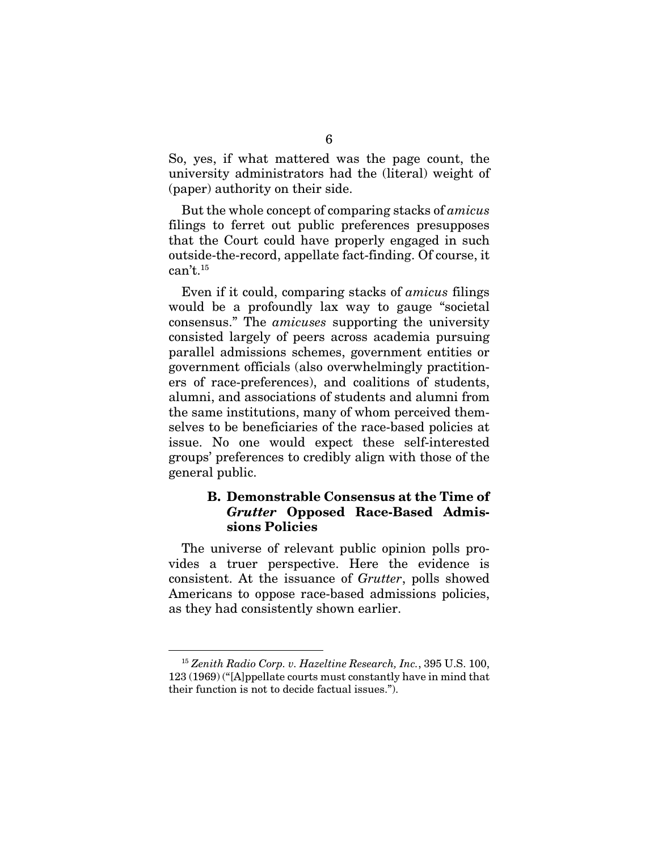So, yes, if what mattered was the page count, the university administrators had the (literal) weight of (paper) authority on their side.

But the whole concept of comparing stacks of *amicus* filings to ferret out public preferences presupposes that the Court could have properly engaged in such outside-the-record, appellate fact-finding. Of course, it  $can't.<sup>15</sup>$ 

Even if it could, comparing stacks of *amicus* filings would be a profoundly lax way to gauge "societal consensus." The *amicuses* supporting the university consisted largely of peers across academia pursuing parallel admissions schemes, government entities or government officials (also overwhelmingly practitioners of race-preferences), and coalitions of students, alumni, and associations of students and alumni from the same institutions, many of whom perceived themselves to be beneficiaries of the race-based policies at issue. No one would expect these self-interested groups' preferences to credibly align with those of the general public.

## B. Demonstrable Consensus at the Time of *Grutter* Opposed Race-Based Admissions Policies

The universe of relevant public opinion polls provides a truer perspective. Here the evidence is consistent. At the issuance of *Grutter*, polls showed Americans to oppose race-based admissions policies, as they had consistently shown earlier.

<sup>15</sup> *Zenith Radio Corp. v. Hazeltine Research, Inc.*, 395 U.S. 100, 123 (1969) ("[A]ppellate courts must constantly have in mind that their function is not to decide factual issues.").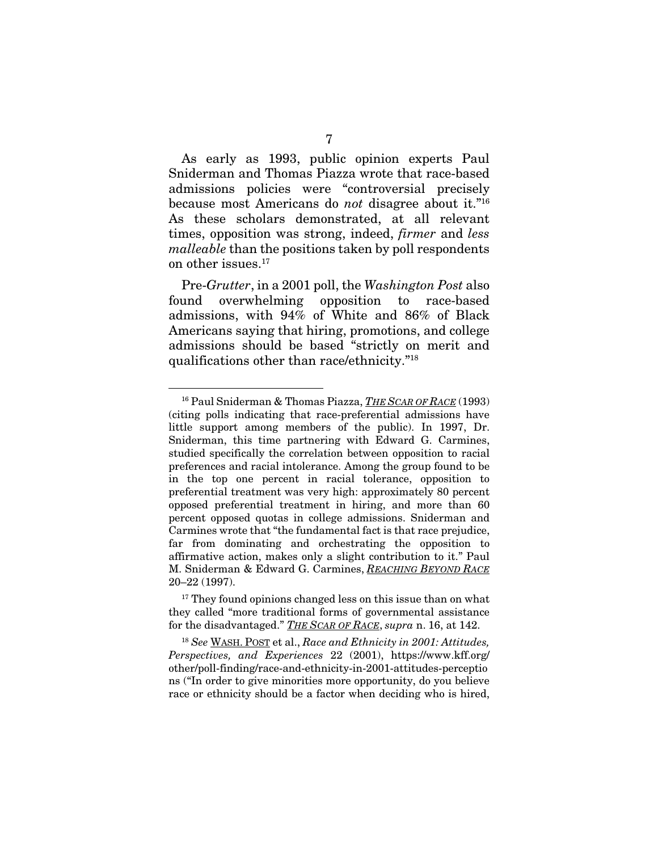As early as 1993, public opinion experts Paul Sniderman and Thomas Piazza wrote that race-based admissions policies were "controversial precisely because most Americans do *not* disagree about it."16 As these scholars demonstrated, at all relevant times, opposition was strong, indeed, *firmer* and *less malleable* than the positions taken by poll respondents on other issues.17

Pre-*Grutter*, in a 2001 poll, the *Washington Post* also found overwhelming opposition to race-based admissions, with 94% of White and 86% of Black Americans saying that hiring, promotions, and college admissions should be based "strictly on merit and qualifications other than race/ethnicity."18

 $17$  They found opinions changed less on this issue than on what they called "more traditional forms of governmental assistance for the disadvantaged." *THE SCAR OF RACE*, *supra* n. 16, at 142.

<sup>18</sup> *See* WASH. POST et al., *Race and Ethnicity in 2001: Attitudes, Perspectives, and Experiences* 22 (2001), https://www.kff.org/ other/poll-finding/race-and-ethnicity-in-2001-attitudes-perceptio ns ("In order to give minorities more opportunity, do you believe race or ethnicity should be a factor when deciding who is hired,

<sup>16</sup> Paul Sniderman & Thomas Piazza, *THE SCAR OF RACE* (1993) (citing polls indicating that race-preferential admissions have little support among members of the public). In 1997, Dr. Sniderman, this time partnering with Edward G. Carmines, studied specifically the correlation between opposition to racial preferences and racial intolerance. Among the group found to be in the top one percent in racial tolerance, opposition to preferential treatment was very high: approximately 80 percent opposed preferential treatment in hiring, and more than 60 percent opposed quotas in college admissions. Sniderman and Carmines wrote that "the fundamental fact is that race prejudice, far from dominating and orchestrating the opposition to affirmative action, makes only a slight contribution to it." Paul M. Sniderman & Edward G. Carmines, *REACHING BEYOND RACE* 20–22 (1997).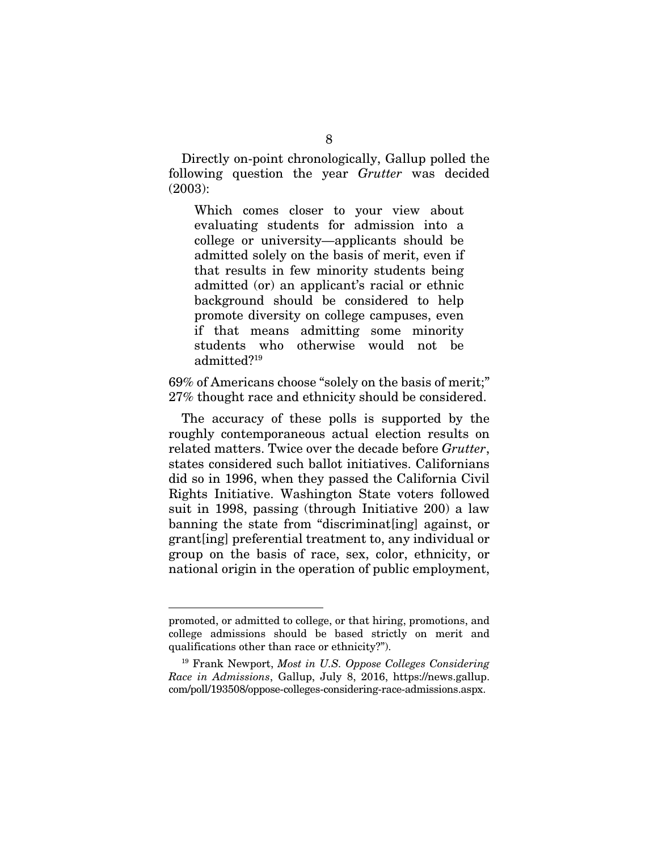Directly on-point chronologically, Gallup polled the following question the year *Grutter* was decided (2003):

Which comes closer to your view about evaluating students for admission into a college or university—applicants should be admitted solely on the basis of merit, even if that results in few minority students being admitted (or) an applicant's racial or ethnic background should be considered to help promote diversity on college campuses, even if that means admitting some minority students who otherwise would not be admitted?19

69% of Americans choose "solely on the basis of merit;" 27% thought race and ethnicity should be considered.

The accuracy of these polls is supported by the roughly contemporaneous actual election results on related matters. Twice over the decade before *Grutter*, states considered such ballot initiatives. Californians did so in 1996, when they passed the California Civil Rights Initiative. Washington State voters followed suit in 1998, passing (through Initiative 200) a law banning the state from "discriminat[ing] against, or grant[ing] preferential treatment to, any individual or group on the basis of race, sex, color, ethnicity, or national origin in the operation of public employment,

promoted, or admitted to college, or that hiring, promotions, and college admissions should be based strictly on merit and qualifications other than race or ethnicity?").

<sup>19</sup> Frank Newport, *Most in U.S. Oppose Colleges Considering Race in Admissions*, Gallup, July 8, 2016, https://news.gallup. com/poll/193508/oppose-colleges-considering-race-admissions.aspx.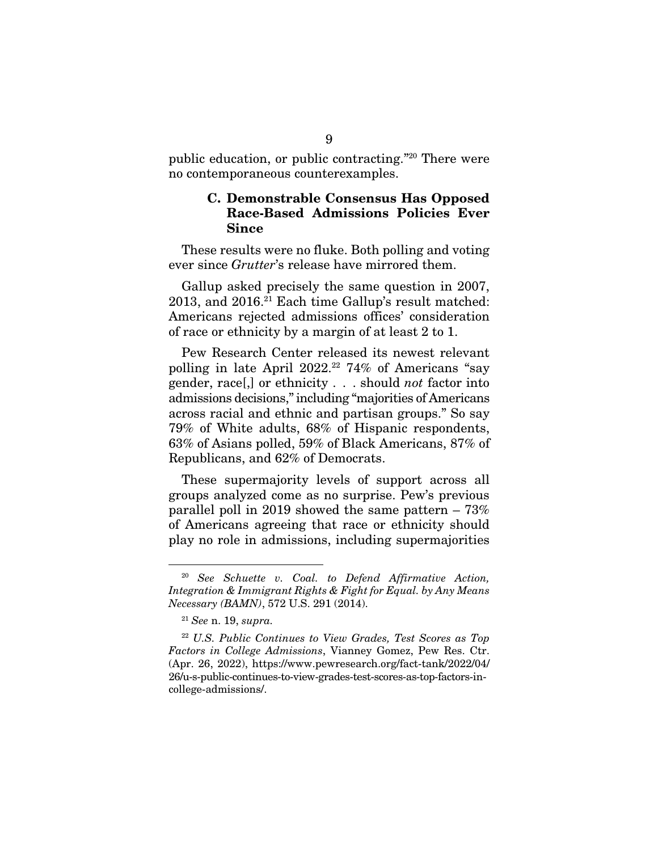public education, or public contracting."20 There were no contemporaneous counterexamples.

#### C. Demonstrable Consensus Has Opposed Race-Based Admissions Policies Ever Since

These results were no fluke. Both polling and voting ever since *Grutter*'s release have mirrored them.

Gallup asked precisely the same question in 2007, 2013, and 2016.<sup>21</sup> Each time Gallup's result matched: Americans rejected admissions offices' consideration of race or ethnicity by a margin of at least 2 to 1.

Pew Research Center released its newest relevant polling in late April 2022.<sup>22</sup> 74% of Americans "say gender, race[,] or ethnicity . . . should *not* factor into admissions decisions," including "majorities of Americans across racial and ethnic and partisan groups." So say 79% of White adults, 68% of Hispanic respondents, 63% of Asians polled, 59% of Black Americans, 87% of Republicans, and 62% of Democrats.

These supermajority levels of support across all groups analyzed come as no surprise. Pew's previous parallel poll in 2019 showed the same pattern – 73% of Americans agreeing that race or ethnicity should play no role in admissions, including supermajorities

<sup>20</sup> *See Schuette v. Coal. to Defend Affirmative Action, Integration & Immigrant Rights & Fight for Equal. by Any Means Necessary (BAMN)*, 572 U.S. 291 (2014).

<sup>21</sup> *See* n. 19, *supra.*

<sup>22</sup> *U.S. Public Continues to View Grades, Test Scores as Top Factors in College Admissions*, Vianney Gomez, Pew Res. Ctr. (Apr. 26, 2022), https://www.pewresearch.org/fact-tank/2022/04/ 26/u-s-public-continues-to-view-grades-test-scores-as-top-factors-incollege-admissions/.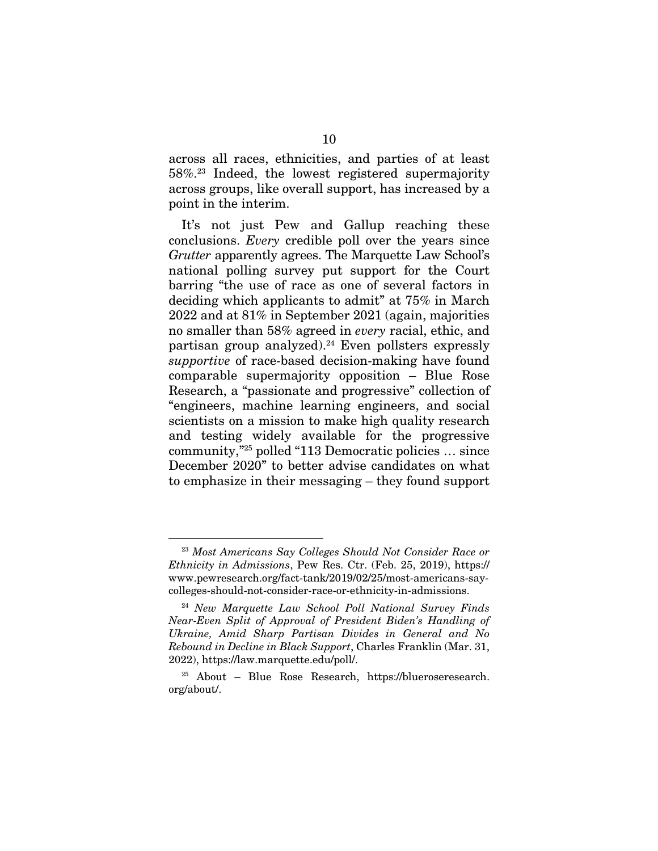across all races, ethnicities, and parties of at least 58%.23 Indeed, the lowest registered supermajority across groups, like overall support, has increased by a point in the interim.

It's not just Pew and Gallup reaching these conclusions. *Every* credible poll over the years since *Grutter* apparently agrees. The Marquette Law School's national polling survey put support for the Court barring "the use of race as one of several factors in deciding which applicants to admit" at 75% in March 2022 and at 81% in September 2021 (again, majorities no smaller than 58% agreed in *every* racial, ethic, and partisan group analyzed).<sup>24</sup> Even pollsters expressly *supportive* of race-based decision-making have found comparable supermajority opposition – Blue Rose Research, a "passionate and progressive" collection of "engineers, machine learning engineers, and social scientists on a mission to make high quality research and testing widely available for the progressive community,"25 polled "113 Democratic policies … since December 2020" to better advise candidates on what to emphasize in their messaging – they found support

<sup>23</sup> *Most Americans Say Colleges Should Not Consider Race or Ethnicity in Admissions*, Pew Res. Ctr. (Feb. 25, 2019), https:// www.pewresearch.org/fact-tank/2019/02/25/most-americans-saycolleges-should-not-consider-race-or-ethnicity-in-admissions.

<sup>24</sup> *New Marquette Law School Poll National Survey Finds Near-Even Split of Approval of President Biden's Handling of Ukraine, Amid Sharp Partisan Divides in General and No Rebound in Decline in Black Support*, Charles Franklin (Mar. 31, 2022), https://law.marquette.edu/poll/.

<sup>25</sup> About – Blue Rose Research, https://blueroseresearch. org/about/.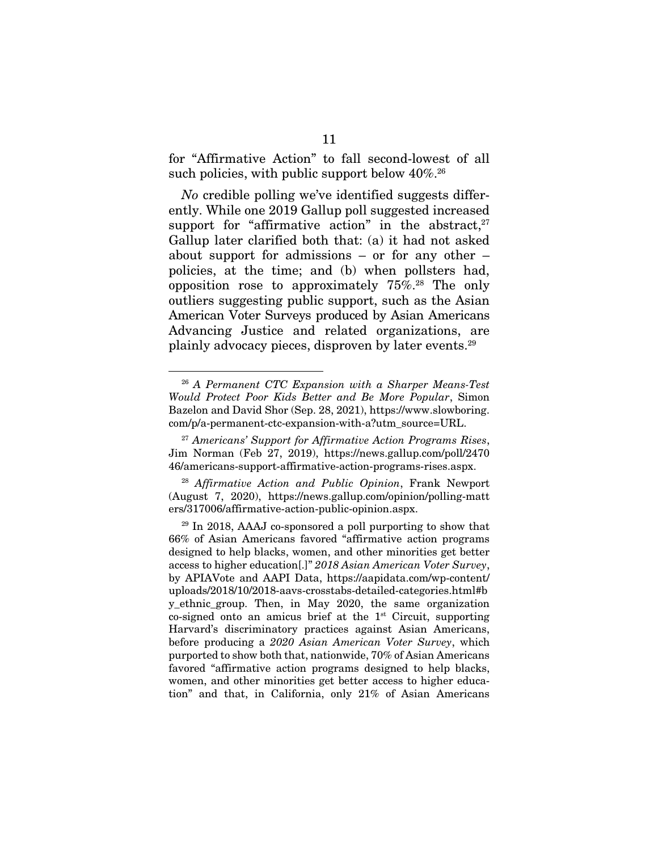for "Affirmative Action" to fall second-lowest of all such policies, with public support below  $40\%$ <sup>26</sup>

*No* credible polling we've identified suggests differently. While one 2019 Gallup poll suggested increased support for "affirmative action" in the abstract, $27$ Gallup later clarified both that: (a) it had not asked about support for admissions – or for any other – policies, at the time; and (b) when pollsters had, opposition rose to approximately  $75\%$ <sup>28</sup> The only outliers suggesting public support, such as the Asian American Voter Surveys produced by Asian Americans Advancing Justice and related organizations, are plainly advocacy pieces, disproven by later events.29

<sup>28</sup> *Affirmative Action and Public Opinion*, Frank Newport (August 7, 2020), https://news.gallup.com/opinion/polling-matt ers/317006/affirmative-action-public-opinion.aspx.

<sup>26</sup> *A Permanent CTC Expansion with a Sharper Means-Test Would Protect Poor Kids Better and Be More Popular*, Simon Bazelon and David Shor (Sep. 28, 2021), https://www.slowboring. com/p/a-permanent-ctc-expansion-with-a?utm\_source=URL.

<sup>27</sup> *Americans' Support for Affirmative Action Programs Rises*, Jim Norman (Feb 27, 2019), https://news.gallup.com/poll/2470 46/americans-support-affirmative-action-programs-rises.aspx.

<sup>29</sup> In 2018, AAAJ co-sponsored a poll purporting to show that 66% of Asian Americans favored "affirmative action programs designed to help blacks, women, and other minorities get better access to higher education[.]" *2018 Asian American Voter Survey*, by APIAVote and AAPI Data, https://aapidata.com/wp-content/ uploads/2018/10/2018-aavs-crosstabs-detailed-categories.html#b y\_ethnic\_group. Then, in May 2020, the same organization co-signed onto an amicus brief at the  $1<sup>st</sup>$  Circuit, supporting Harvard's discriminatory practices against Asian Americans, before producing a *2020 Asian American Voter Survey*, which purported to show both that, nationwide, 70% of Asian Americans favored "affirmative action programs designed to help blacks, women, and other minorities get better access to higher education" and that, in California, only 21% of Asian Americans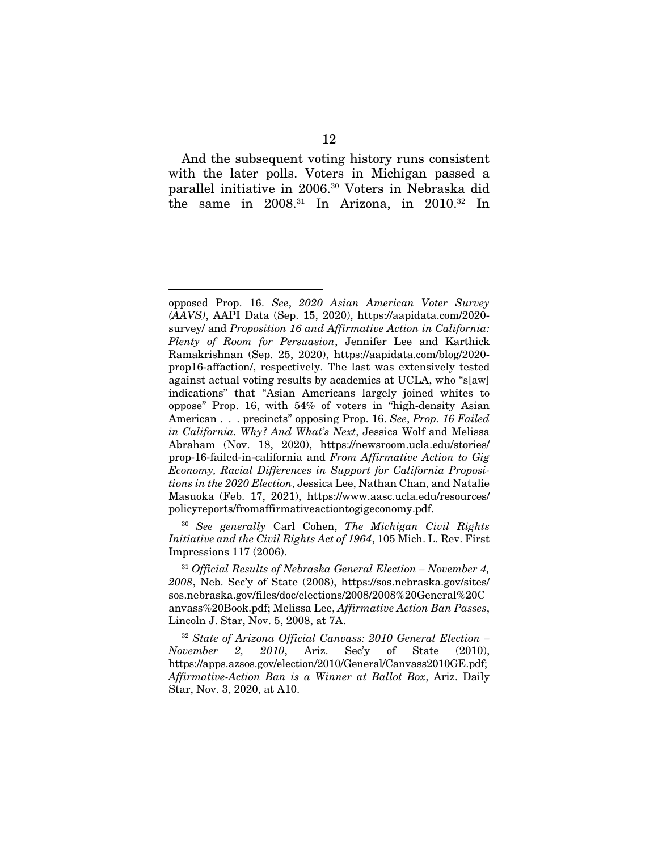And the subsequent voting history runs consistent with the later polls. Voters in Michigan passed a parallel initiative in 2006.30 Voters in Nebraska did the same in  $2008$ .<sup>31</sup> In Arizona, in  $2010$ .<sup>32</sup> In

<sup>30</sup> *See generally* Carl Cohen, *The Michigan Civil Rights Initiative and the Civil Rights Act of 1964*, 105 Mich. L. Rev. First Impressions 117 (2006).

<sup>32</sup> *State of Arizona Official Canvass: 2010 General Election – November 2, 2010*, Ariz. Sec'y of State (2010), https://apps.azsos.gov/election/2010/General/Canvass2010GE.pdf; *Affirmative-Action Ban is a Winner at Ballot Box*, Ariz. Daily Star, Nov. 3, 2020, at A10.

opposed Prop. 16. *See*, *2020 Asian American Voter Survey (AAVS)*, AAPI Data (Sep. 15, 2020), https://aapidata.com/2020 survey/ and *Proposition 16 and Affirmative Action in California: Plenty of Room for Persuasion*, Jennifer Lee and Karthick Ramakrishnan (Sep. 25, 2020), https://aapidata.com/blog/2020 prop16-affaction/, respectively. The last was extensively tested against actual voting results by academics at UCLA, who "s[aw] indications" that "Asian Americans largely joined whites to oppose" Prop. 16, with 54% of voters in "high-density Asian American . . . precincts" opposing Prop. 16. *See*, *Prop. 16 Failed in California. Why? And What's Next*, Jessica Wolf and Melissa Abraham (Nov. 18, 2020), https://newsroom.ucla.edu/stories/ prop-16-failed-in-california and *From Affirmative Action to Gig Economy, Racial Differences in Support for California Propositions in the 2020 Election*, Jessica Lee, Nathan Chan, and Natalie Masuoka (Feb. 17, 2021), https://www.aasc.ucla.edu/resources/ policyreports/fromaffirmativeactiontogigeconomy.pdf.

<sup>31</sup> *Official Results of Nebraska General Election – November 4, 2008*, Neb. Sec'y of State (2008), https://sos.nebraska.gov/sites/ sos.nebraska.gov/files/doc/elections/2008/2008%20General%20C anvass%20Book.pdf; Melissa Lee, *Affirmative Action Ban Passes*, Lincoln J. Star, Nov. 5, 2008, at 7A.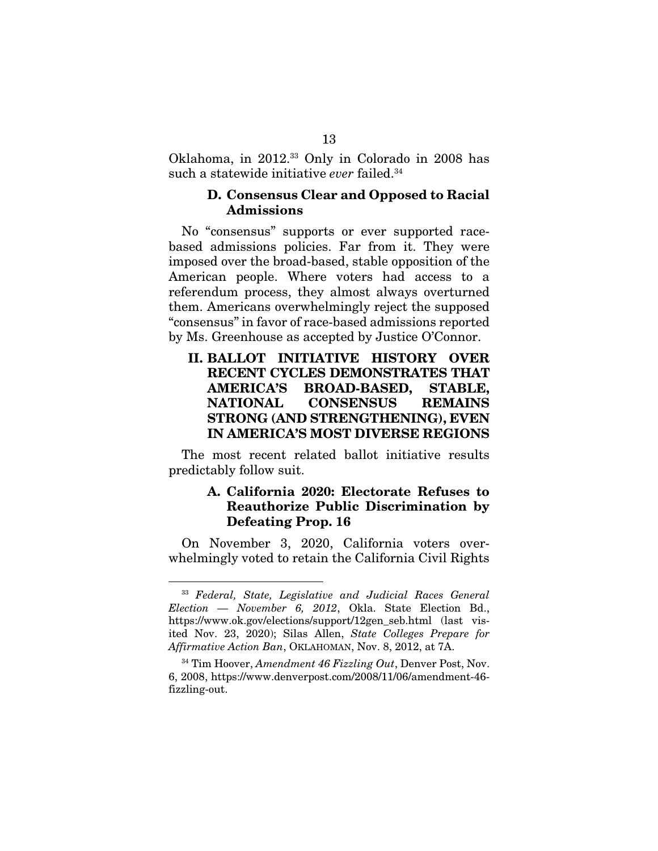Oklahoma, in 2012.33 Only in Colorado in 2008 has such a statewide initiative *ever* failed.34

#### D. Consensus Clear and Opposed to Racial Admissions

No "consensus" supports or ever supported racebased admissions policies. Far from it. They were imposed over the broad-based, stable opposition of the American people. Where voters had access to a referendum process, they almost always overturned them. Americans overwhelmingly reject the supposed "consensus" in favor of race-based admissions reported by Ms. Greenhouse as accepted by Justice O'Connor.

## II. BALLOT INITIATIVE HISTORY OVER RECENT CYCLES DEMONSTRATES THAT AMERICA'S BROAD-BASED, STABLE, NATIONAL CONSENSUS REMAINS STRONG (AND STRENGTHENING), EVEN IN AMERICA'S MOST DIVERSE REGIONS

The most recent related ballot initiative results predictably follow suit.

### A. California 2020: Electorate Refuses to Reauthorize Public Discrimination by Defeating Prop. 16

On November 3, 2020, California voters overwhelmingly voted to retain the California Civil Rights

<sup>33</sup> *Federal, State, Legislative and Judicial Races General Election — November 6, 2012*, Okla. State Election Bd., https://www.ok.gov/elections/support/12gen\_seb.html (last visited Nov. 23, 2020); Silas Allen, *State Colleges Prepare for Affirmative Action Ban*, OKLAHOMAN, Nov. 8, 2012, at 7A.

<sup>34</sup> Tim Hoover, *Amendment 46 Fizzling Out*, Denver Post, Nov. 6, 2008, https://www.denverpost.com/2008/11/06/amendment-46 fizzling-out.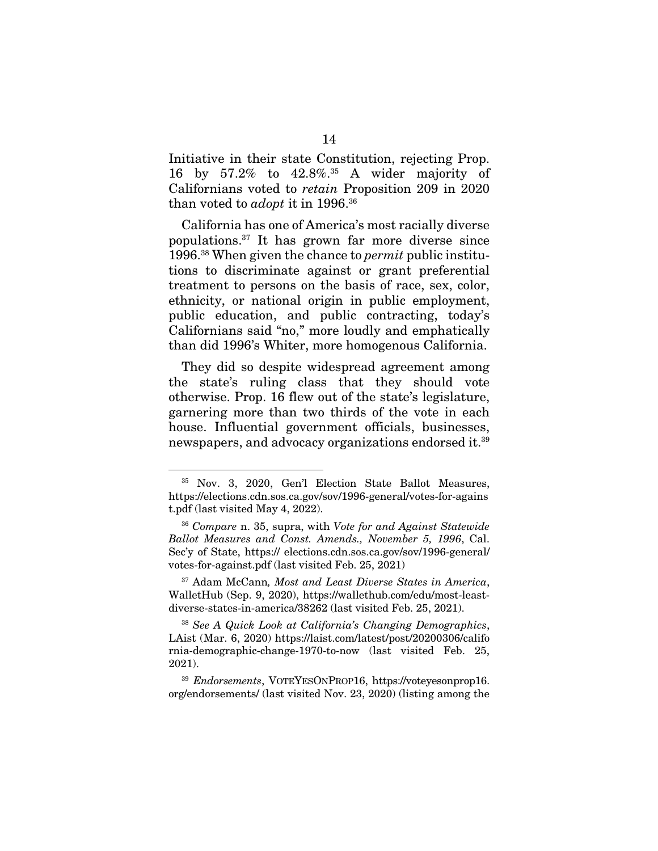Initiative in their state Constitution, rejecting Prop. 16 by 57.2% to 42.8%.35 A wider majority of Californians voted to *retain* Proposition 209 in 2020 than voted to *adopt* it in 1996.36

California has one of America's most racially diverse populations.37 It has grown far more diverse since 1996.38 When given the chance to *permit* public institutions to discriminate against or grant preferential treatment to persons on the basis of race, sex, color, ethnicity, or national origin in public employment, public education, and public contracting, today's Californians said "no," more loudly and emphatically than did 1996's Whiter, more homogenous California.

They did so despite widespread agreement among the state's ruling class that they should vote otherwise. Prop. 16 flew out of the state's legislature, garnering more than two thirds of the vote in each house. Influential government officials, businesses, newspapers, and advocacy organizations endorsed it.39

<sup>35</sup> Nov. 3, 2020, Gen'l Election State Ballot Measures, https://elections.cdn.sos.ca.gov/sov/1996-general/votes-for-agains t.pdf (last visited May 4, 2022).

<sup>36</sup> *Compare* n. 35, supra, with *Vote for and Against Statewide Ballot Measures and Const. Amends., November 5, 1996*, Cal. Sec'y of State, https:// elections.cdn.sos.ca.gov/sov/1996-general/ votes-for-against.pdf (last visited Feb. 25, 2021)

<sup>37</sup> Adam McCann*, Most and Least Diverse States in America*, WalletHub (Sep. 9, 2020), https://wallethub.com/edu/most-leastdiverse-states-in-america/38262 (last visited Feb. 25, 2021).

<sup>38</sup> *See A Quick Look at California's Changing Demographics*, LAist (Mar. 6, 2020) https://laist.com/latest/post/20200306/califo rnia-demographic-change-1970-to-now (last visited Feb. 25, 2021).

<sup>39</sup> *Endorsements*, VOTEYESONPROP16, https://voteyesonprop16. org/endorsements/ (last visited Nov. 23, 2020) (listing among the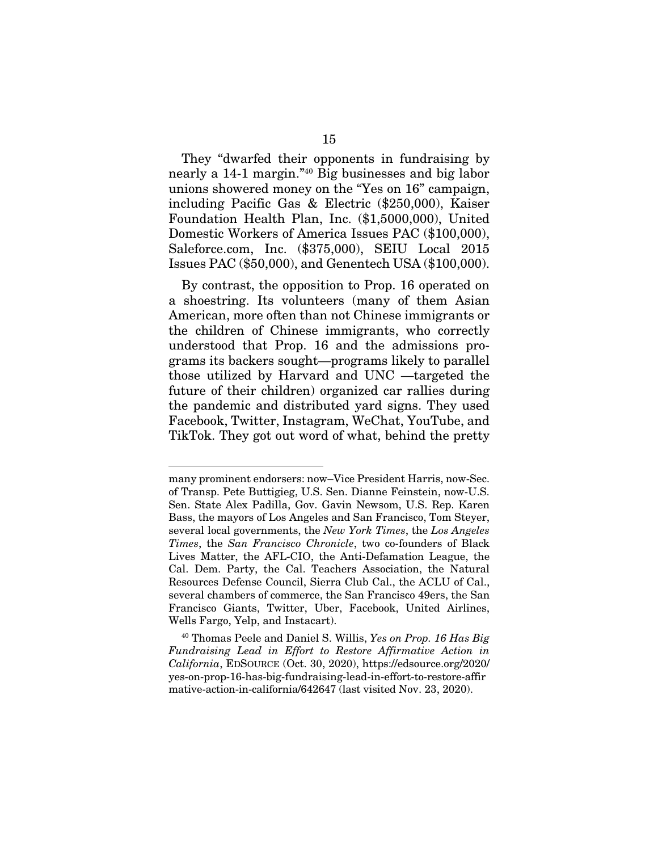They "dwarfed their opponents in fundraising by nearly a 14-1 margin."40 Big businesses and big labor unions showered money on the "Yes on 16" campaign, including Pacific Gas & Electric (\$250,000), Kaiser Foundation Health Plan, Inc. (\$1,5000,000), United Domestic Workers of America Issues PAC (\$100,000), Saleforce.com, Inc. (\$375,000), SEIU Local 2015 Issues PAC (\$50,000), and Genentech USA (\$100,000).

By contrast, the opposition to Prop. 16 operated on a shoestring. Its volunteers (many of them Asian American, more often than not Chinese immigrants or the children of Chinese immigrants, who correctly understood that Prop. 16 and the admissions programs its backers sought—programs likely to parallel those utilized by Harvard and UNC —targeted the future of their children) organized car rallies during the pandemic and distributed yard signs. They used Facebook, Twitter, Instagram, WeChat, YouTube, and TikTok. They got out word of what, behind the pretty

many prominent endorsers: now–Vice President Harris, now-Sec. of Transp. Pete Buttigieg, U.S. Sen. Dianne Feinstein, now-U.S. Sen. State Alex Padilla, Gov. Gavin Newsom, U.S. Rep. Karen Bass, the mayors of Los Angeles and San Francisco, Tom Steyer, several local governments, the *New York Times*, the *Los Angeles Times*, the *San Francisco Chronicle*, two co-founders of Black Lives Matter, the AFL-CIO, the Anti-Defamation League, the Cal. Dem. Party, the Cal. Teachers Association, the Natural Resources Defense Council, Sierra Club Cal., the ACLU of Cal., several chambers of commerce, the San Francisco 49ers, the San Francisco Giants, Twitter, Uber, Facebook, United Airlines, Wells Fargo, Yelp, and Instacart).

<sup>40</sup> Thomas Peele and Daniel S. Willis, *Yes on Prop. 16 Has Big Fundraising Lead in Effort to Restore Affirmative Action in California*, EDSOURCE (Oct. 30, 2020), https://edsource.org/2020/ yes-on-prop-16-has-big-fundraising-lead-in-effort-to-restore-affir mative-action-in-california/642647 (last visited Nov. 23, 2020).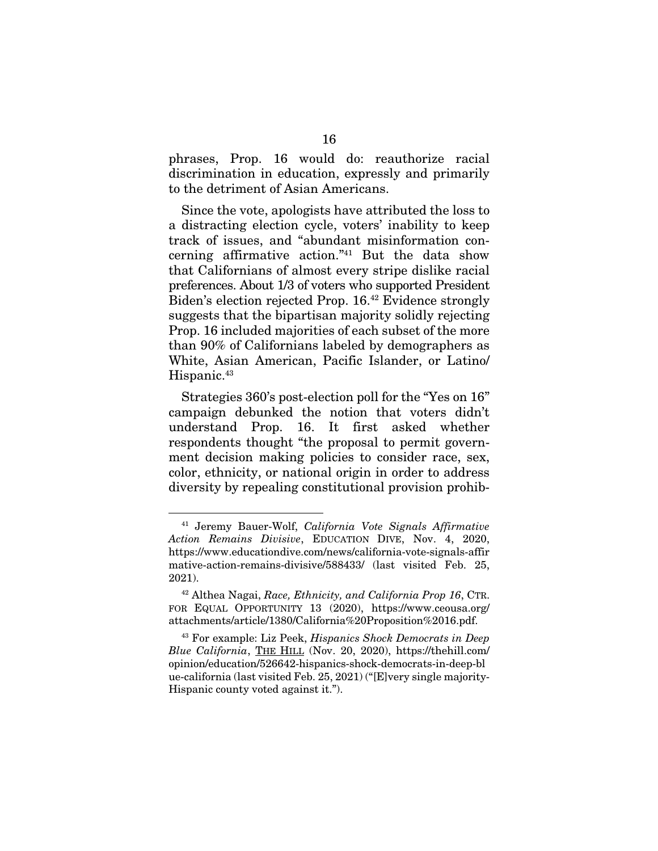phrases, Prop. 16 would do: reauthorize racial discrimination in education, expressly and primarily to the detriment of Asian Americans.

Since the vote, apologists have attributed the loss to a distracting election cycle, voters' inability to keep track of issues, and "abundant misinformation concerning affirmative action."41 But the data show that Californians of almost every stripe dislike racial preferences. About 1/3 of voters who supported President Biden's election rejected Prop. 16.42 Evidence strongly suggests that the bipartisan majority solidly rejecting Prop. 16 included majorities of each subset of the more than 90% of Californians labeled by demographers as White, Asian American, Pacific Islander, or Latino/ Hispanic.<sup>43</sup>

Strategies 360's post-election poll for the "Yes on 16" campaign debunked the notion that voters didn't understand Prop. 16. It first asked whether respondents thought "the proposal to permit government decision making policies to consider race, sex, color, ethnicity, or national origin in order to address diversity by repealing constitutional provision prohib-

<sup>41</sup> Jeremy Bauer-Wolf, *California Vote Signals Affirmative Action Remains Divisive*, EDUCATION DIVE, Nov. 4, 2020, https://www.educationdive.com/news/california-vote-signals-affir mative-action-remains-divisive/588433/ (last visited Feb. 25, 2021).

<sup>42</sup> Althea Nagai, *Race, Ethnicity, and California Prop 16*, CTR. FOR EQUAL OPPORTUNITY 13 (2020), https://www.ceousa.org/ attachments/article/1380/California%20Proposition%2016.pdf.

<sup>43</sup> For example: Liz Peek, *Hispanics Shock Democrats in Deep Blue California*, THE HILL (Nov. 20, 2020), https://thehill.com/ opinion/education/526642-hispanics-shock-democrats-in-deep-bl ue-california (last visited Feb. 25, 2021) ("[E]very single majority-Hispanic county voted against it.").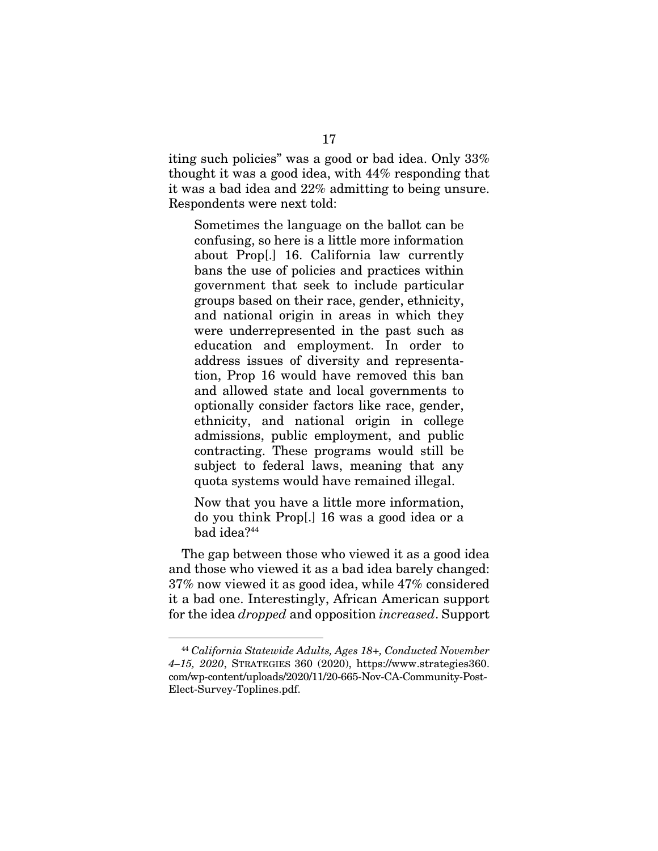iting such policies" was a good or bad idea. Only 33% thought it was a good idea, with 44% responding that it was a bad idea and 22% admitting to being unsure. Respondents were next told:

Sometimes the language on the ballot can be confusing, so here is a little more information about Prop[.] 16. California law currently bans the use of policies and practices within government that seek to include particular groups based on their race, gender, ethnicity, and national origin in areas in which they were underrepresented in the past such as education and employment. In order to address issues of diversity and representation, Prop 16 would have removed this ban and allowed state and local governments to optionally consider factors like race, gender, ethnicity, and national origin in college admissions, public employment, and public contracting. These programs would still be subject to federal laws, meaning that any quota systems would have remained illegal.

Now that you have a little more information, do you think Prop[.] 16 was a good idea or a bad idea?44

The gap between those who viewed it as a good idea and those who viewed it as a bad idea barely changed: 37% now viewed it as good idea, while 47% considered it a bad one. Interestingly, African American support for the idea *dropped* and opposition *increased*. Support

<sup>44</sup> *California Statewide Adults, Ages 18+, Conducted November 4–15, 2020*, STRATEGIES 360 (2020), https://www.strategies360. com/wp-content/uploads/2020/11/20-665-Nov-CA-Community-Post-Elect-Survey-Toplines.pdf.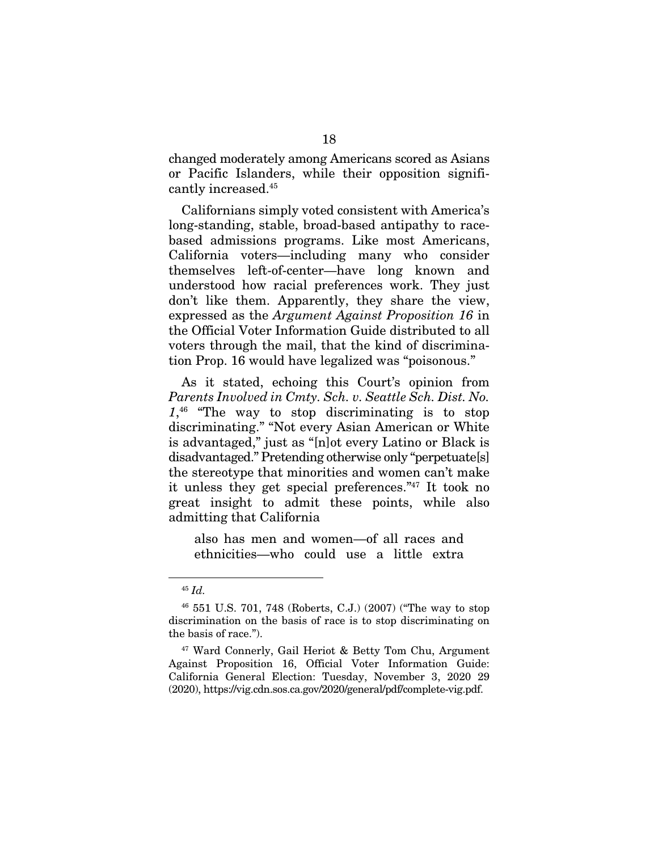changed moderately among Americans scored as Asians or Pacific Islanders, while their opposition significantly increased.45

Californians simply voted consistent with America's long-standing, stable, broad-based antipathy to racebased admissions programs. Like most Americans, California voters—including many who consider themselves left-of-center—have long known and understood how racial preferences work. They just don't like them. Apparently, they share the view, expressed as the *Argument Against Proposition 16* in the Official Voter Information Guide distributed to all voters through the mail, that the kind of discrimination Prop. 16 would have legalized was "poisonous."

As it stated, echoing this Court's opinion from *Parents Involved in Cmty. Sch. v. Seattle Sch. Dist. No. 1*, 46 "The way to stop discriminating is to stop discriminating." "Not every Asian American or White is advantaged," just as "[n]ot every Latino or Black is disadvantaged." Pretending otherwise only "perpetuate[s] the stereotype that minorities and women can't make it unless they get special preferences."47 It took no great insight to admit these points, while also admitting that California

also has men and women—of all races and ethnicities—who could use a little extra

<sup>45</sup> *Id.*

<sup>46 551</sup> U.S. 701, 748 (Roberts, C.J.) (2007) ("The way to stop discrimination on the basis of race is to stop discriminating on the basis of race.").

<sup>47</sup> Ward Connerly, Gail Heriot & Betty Tom Chu, Argument Against Proposition 16, Official Voter Information Guide: California General Election: Tuesday, November 3, 2020 29 (2020), https://vig.cdn.sos.ca.gov/2020/general/pdf/complete-vig.pdf.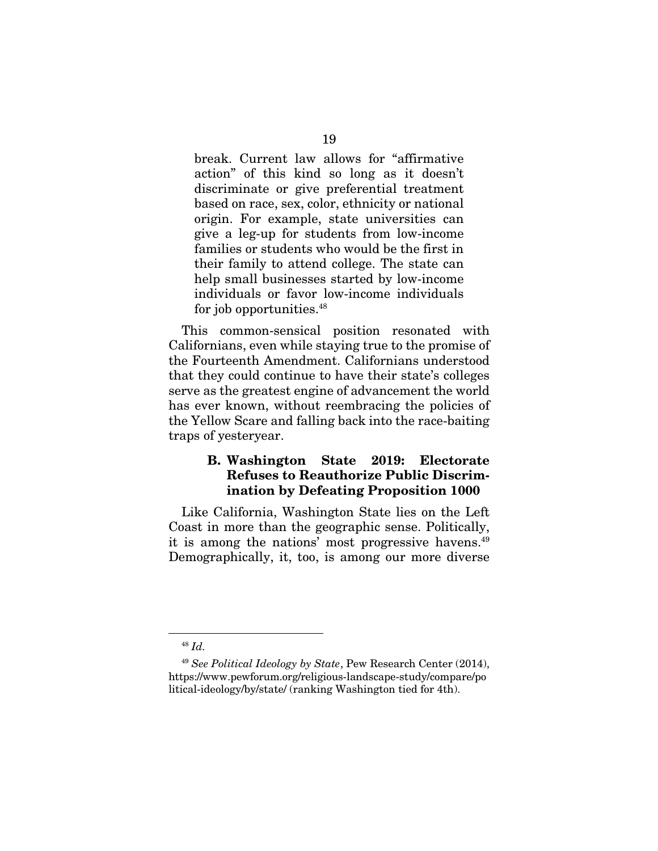break. Current law allows for "affirmative action" of this kind so long as it doesn't discriminate or give preferential treatment based on race, sex, color, ethnicity or national origin. For example, state universities can give a leg-up for students from low-income families or students who would be the first in their family to attend college. The state can help small businesses started by low-income individuals or favor low-income individuals for job opportunities.<sup>48</sup>

This common-sensical position resonated with Californians, even while staying true to the promise of the Fourteenth Amendment. Californians understood that they could continue to have their state's colleges serve as the greatest engine of advancement the world has ever known, without reembracing the policies of the Yellow Scare and falling back into the race-baiting traps of yesteryear.

### B. Washington State 2019: Electorate Refuses to Reauthorize Public Discrimination by Defeating Proposition 1000

Like California, Washington State lies on the Left Coast in more than the geographic sense. Politically, it is among the nations' most progressive havens.49 Demographically, it, too, is among our more diverse

<sup>48</sup> *Id.*

<sup>49</sup> *See Political Ideology by State*, Pew Research Center (2014), https://www.pewforum.org/religious-landscape-study/compare/po litical-ideology/by/state/ (ranking Washington tied for 4th).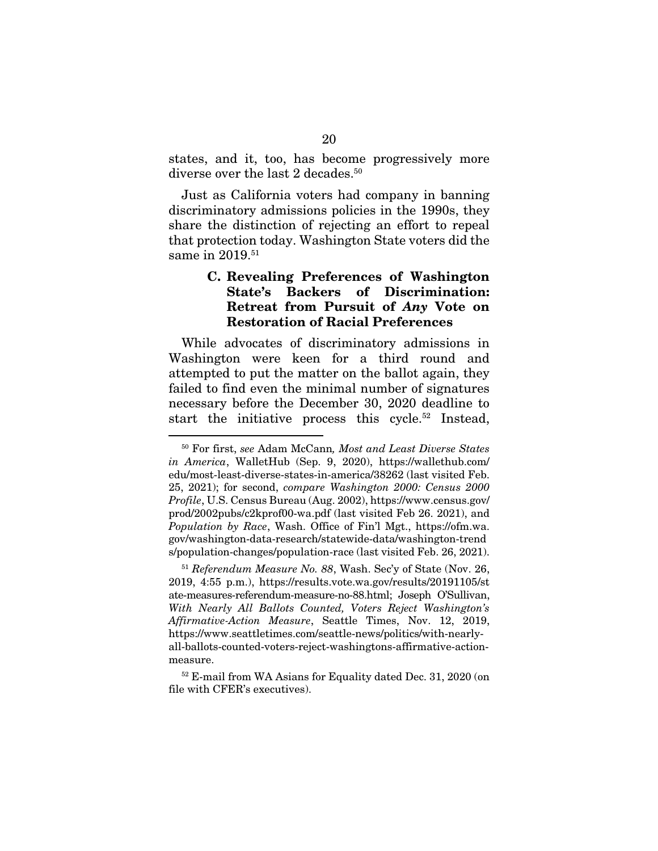states, and it, too, has become progressively more diverse over the last 2 decades.<sup>50</sup>

Just as California voters had company in banning discriminatory admissions policies in the 1990s, they share the distinction of rejecting an effort to repeal that protection today. Washington State voters did the same in 2019.<sup>51</sup>

### C. Revealing Preferences of Washington State's Backers of Discrimination: Retreat from Pursuit of *Any* Vote on Restoration of Racial Preferences

While advocates of discriminatory admissions in Washington were keen for a third round and attempted to put the matter on the ballot again, they failed to find even the minimal number of signatures necessary before the December 30, 2020 deadline to start the initiative process this cycle.<sup>52</sup> Instead,

<sup>50</sup> For first, *see* Adam McCann*, Most and Least Diverse States in America*, WalletHub (Sep. 9, 2020), https://wallethub.com/ edu/most-least-diverse-states-in-america/38262 (last visited Feb. 25, 2021); for second, *compare Washington 2000: Census 2000 Profile*, U.S. Census Bureau (Aug. 2002), https://www.census.gov/ prod/2002pubs/c2kprof00-wa.pdf (last visited Feb 26. 2021), and *Population by Race*, Wash. Office of Fin'l Mgt., https://ofm.wa. gov/washington-data-research/statewide-data/washington-trend s/population-changes/population-race (last visited Feb. 26, 2021).

<sup>51</sup> *Referendum Measure No. 88*, Wash. Sec'y of State (Nov. 26, 2019, 4:55 p.m.), https://results.vote.wa.gov/results/20191105/st ate-measures-referendum-measure-no-88.html; Joseph O'Sullivan, *With Nearly All Ballots Counted, Voters Reject Washington's Affirmative-Action Measure*, Seattle Times, Nov. 12, 2019, https://www.seattletimes.com/seattle-news/politics/with-nearlyall-ballots-counted-voters-reject-washingtons-affirmative-actionmeasure.

<sup>52</sup> E-mail from WA Asians for Equality dated Dec. 31, 2020 (on file with CFER's executives).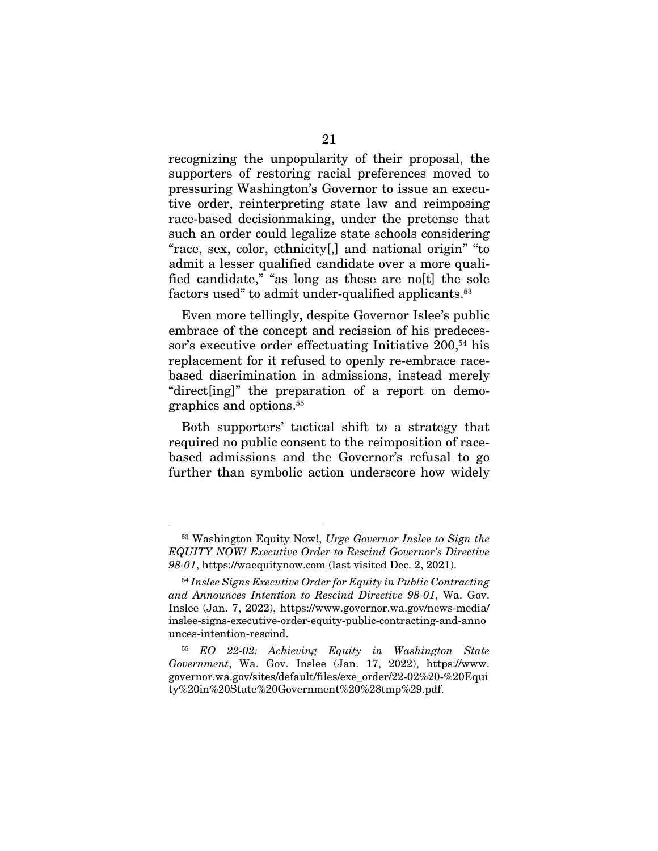recognizing the unpopularity of their proposal, the supporters of restoring racial preferences moved to pressuring Washington's Governor to issue an executive order, reinterpreting state law and reimposing race-based decisionmaking, under the pretense that such an order could legalize state schools considering "race, sex, color, ethnicity[,] and national origin" "to admit a lesser qualified candidate over a more qualified candidate," "as long as these are no[t] the sole factors used" to admit under-qualified applicants.<sup>53</sup>

Even more tellingly, despite Governor Islee's public embrace of the concept and recission of his predecessor's executive order effectuating Initiative 200,<sup>54</sup> his replacement for it refused to openly re-embrace racebased discrimination in admissions, instead merely "direct[ing]" the preparation of a report on demographics and options.55

Both supporters' tactical shift to a strategy that required no public consent to the reimposition of racebased admissions and the Governor's refusal to go further than symbolic action underscore how widely

<sup>53</sup> Washington Equity Now!, *Urge Governor Inslee to Sign the EQUITY NOW! Executive Order to Rescind Governor's Directive 98-01*, https://waequitynow.com (last visited Dec. 2, 2021).

<sup>54</sup> *Inslee Signs Executive Order for Equity in Public Contracting and Announces Intention to Rescind Directive 98-01*, Wa. Gov. Inslee (Jan. 7, 2022), https://www.governor.wa.gov/news-media/ inslee-signs-executive-order-equity-public-contracting-and-anno unces-intention-rescind.

<sup>55</sup> *EO 22-02: Achieving Equity in Washington State Government*, Wa. Gov. Inslee (Jan. 17, 2022), https://www. governor.wa.gov/sites/default/files/exe\_order/22-02%20-%20Equi ty%20in%20State%20Government%20%28tmp%29.pdf.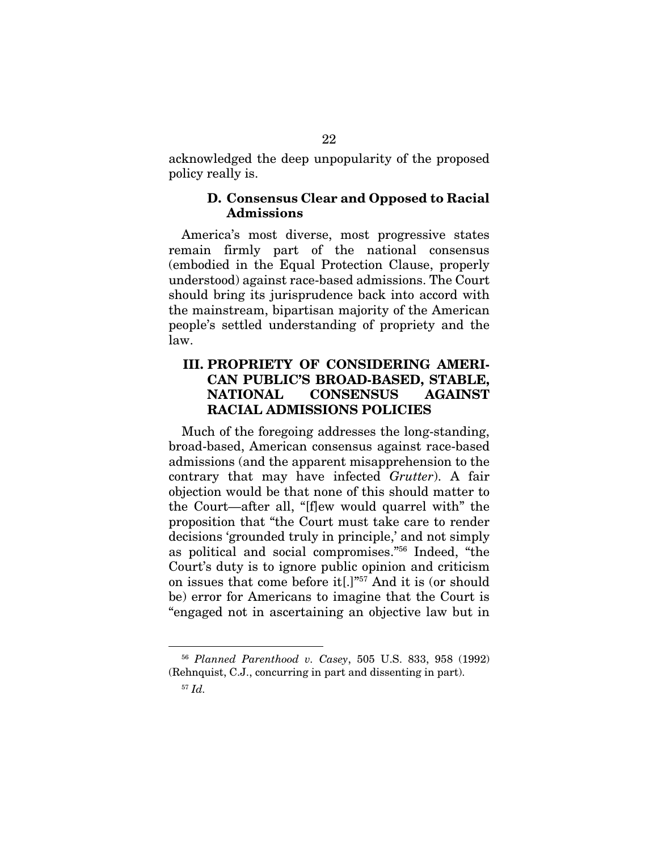acknowledged the deep unpopularity of the proposed policy really is.

#### D. Consensus Clear and Opposed to Racial Admissions

America's most diverse, most progressive states remain firmly part of the national consensus (embodied in the Equal Protection Clause, properly understood) against race-based admissions. The Court should bring its jurisprudence back into accord with the mainstream, bipartisan majority of the American people's settled understanding of propriety and the law.

### III. PROPRIETY OF CONSIDERING AMERI-CAN PUBLIC'S BROAD-BASED, STABLE, NATIONAL CONSENSUS AGAINST RACIAL ADMISSIONS POLICIES

Much of the foregoing addresses the long-standing, broad-based, American consensus against race-based admissions (and the apparent misapprehension to the contrary that may have infected *Grutter*). A fair objection would be that none of this should matter to the Court—after all, "[f]ew would quarrel with" the proposition that "the Court must take care to render decisions 'grounded truly in principle,' and not simply as political and social compromises."56 Indeed, "the Court's duty is to ignore public opinion and criticism on issues that come before it[.]"57 And it is (or should be) error for Americans to imagine that the Court is "engaged not in ascertaining an objective law but in

<sup>56</sup> *Planned Parenthood v. Casey*, 505 U.S. 833, 958 (1992) (Rehnquist, C.J., concurring in part and dissenting in part).

<sup>57</sup> *Id.*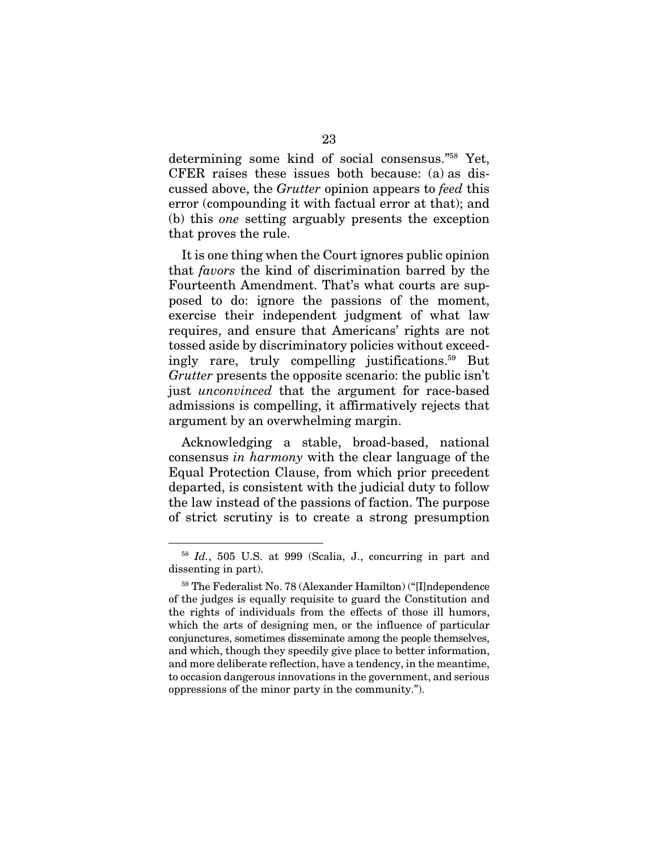determining some kind of social consensus."58 Yet, CFER raises these issues both because: (a) as discussed above, the *Grutter* opinion appears to *feed* this error (compounding it with factual error at that); and (b) this *one* setting arguably presents the exception that proves the rule.

It is one thing when the Court ignores public opinion that *favors* the kind of discrimination barred by the Fourteenth Amendment. That's what courts are supposed to do: ignore the passions of the moment, exercise their independent judgment of what law requires, and ensure that Americans' rights are not tossed aside by discriminatory policies without exceedingly rare, truly compelling justifications.59 But *Grutter* presents the opposite scenario: the public isn't just *unconvinced* that the argument for race-based admissions is compelling, it affirmatively rejects that argument by an overwhelming margin.

Acknowledging a stable, broad-based, national consensus *in harmony* with the clear language of the Equal Protection Clause, from which prior precedent departed, is consistent with the judicial duty to follow the law instead of the passions of faction. The purpose of strict scrutiny is to create a strong presumption

<sup>58</sup> *Id.*, 505 U.S. at 999 (Scalia, J., concurring in part and dissenting in part).

<sup>59</sup> The Federalist No. 78 (Alexander Hamilton) ("[I]ndependence of the judges is equally requisite to guard the Constitution and the rights of individuals from the effects of those ill humors, which the arts of designing men, or the influence of particular conjunctures, sometimes disseminate among the people themselves, and which, though they speedily give place to better information, and more deliberate reflection, have a tendency, in the meantime, to occasion dangerous innovations in the government, and serious oppressions of the minor party in the community.").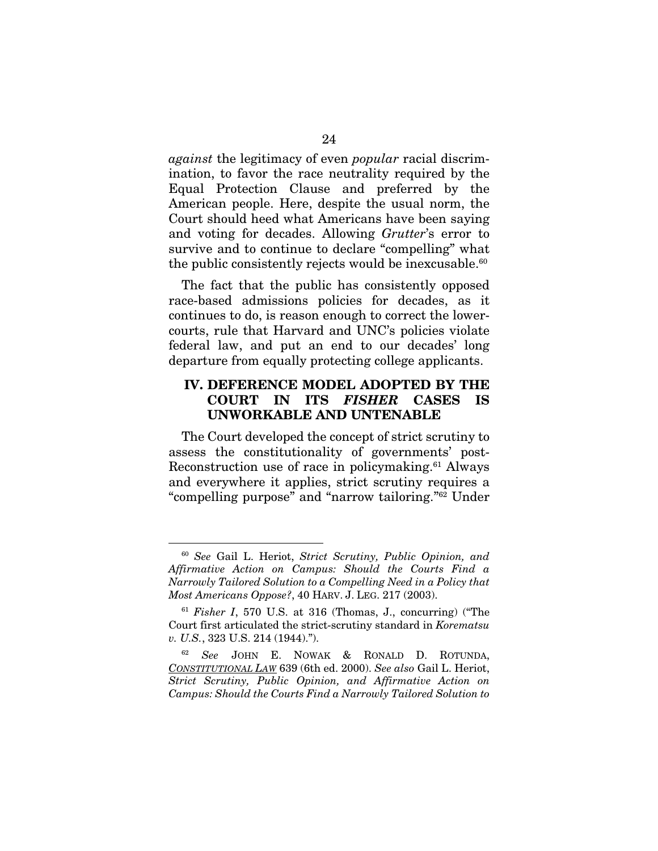*against* the legitimacy of even *popular* racial discrimination, to favor the race neutrality required by the Equal Protection Clause and preferred by the American people. Here, despite the usual norm, the Court should heed what Americans have been saying and voting for decades. Allowing *Grutter*'s error to survive and to continue to declare "compelling" what the public consistently rejects would be inexcusable.<sup>60</sup>

The fact that the public has consistently opposed race-based admissions policies for decades, as it continues to do, is reason enough to correct the lowercourts, rule that Harvard and UNC's policies violate federal law, and put an end to our decades' long departure from equally protecting college applicants.

### IV. DEFERENCE MODEL ADOPTED BY THE COURT IN ITS *FISHER* CASES IS UNWORKABLE AND UNTENABLE

The Court developed the concept of strict scrutiny to assess the constitutionality of governments' post-Reconstruction use of race in policymaking.61 Always and everywhere it applies, strict scrutiny requires a "compelling purpose" and "narrow tailoring."62 Under

<sup>60</sup> *See* Gail L. Heriot, *Strict Scrutiny, Public Opinion, and Affirmative Action on Campus: Should the Courts Find a Narrowly Tailored Solution to a Compelling Need in a Policy that Most Americans Oppose?*, 40 HARV. J. LEG. 217 (2003).

<sup>61</sup> *Fisher I*, 570 U.S. at 316 (Thomas, J., concurring) ("The Court first articulated the strict-scrutiny standard in *Korematsu v. U.S.*, 323 U.S. 214 (1944).").

<sup>62</sup> *See* JOHN E. NOWAK & RONALD D. ROTUNDA, *CONSTITUTIONAL LAW* 639 (6th ed. 2000). *See also* Gail L. Heriot, *Strict Scrutiny, Public Opinion, and Affirmative Action on Campus: Should the Courts Find a Narrowly Tailored Solution to*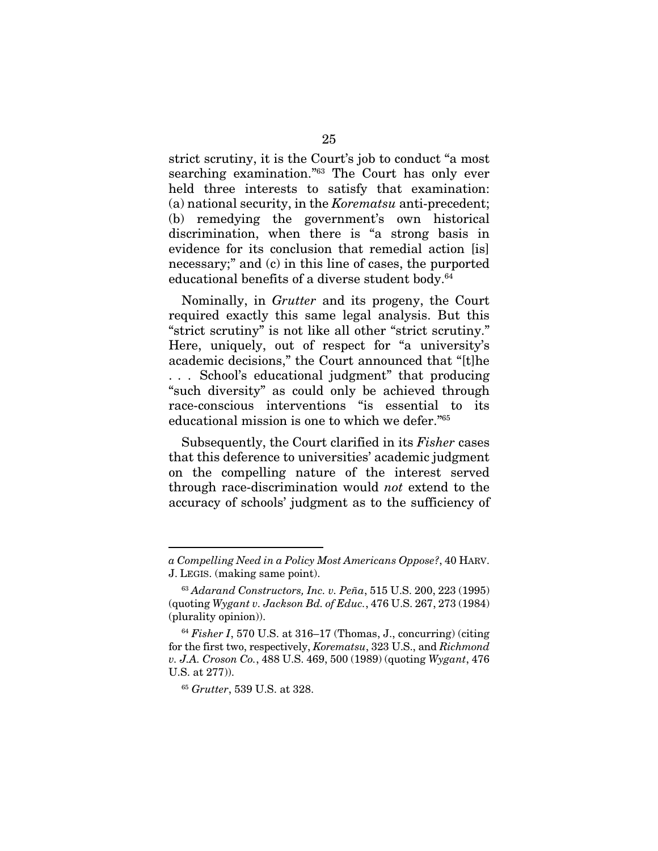strict scrutiny, it is the Court's job to conduct "a most searching examination."63 The Court has only ever held three interests to satisfy that examination: (a) national security, in the *Korematsu* anti-precedent; (b) remedying the government's own historical discrimination, when there is "a strong basis in evidence for its conclusion that remedial action [is] necessary;" and (c) in this line of cases, the purported educational benefits of a diverse student body.<sup>64</sup>

Nominally, in *Grutter* and its progeny, the Court required exactly this same legal analysis. But this "strict scrutiny" is not like all other "strict scrutiny." Here, uniquely, out of respect for "a university's academic decisions," the Court announced that "[t]he . . . School's educational judgment" that producing "such diversity" as could only be achieved through race-conscious interventions "is essential to its educational mission is one to which we defer."65

Subsequently, the Court clarified in its *Fisher* cases that this deference to universities' academic judgment on the compelling nature of the interest served through race-discrimination would *not* extend to the accuracy of schools' judgment as to the sufficiency of

*a Compelling Need in a Policy Most Americans Oppose?*, 40 HARV. J. LEGIS. (making same point).

<sup>63</sup> *Adarand Constructors, Inc. v. Peña*, 515 U.S. 200, 223 (1995) (quoting *Wygant v. Jackson Bd. of Educ.*, 476 U.S. 267, 273 (1984) (plurality opinion)).

<sup>64</sup> *Fisher I*, 570 U.S. at 316–17 (Thomas, J., concurring) (citing for the first two, respectively, *Korematsu*, 323 U.S., and *Richmond v. J.A. Croson Co.*, 488 U.S. 469, 500 (1989) (quoting *Wygant*, 476 U.S. at 277)).

<sup>65</sup> *Grutter*, 539 U.S. at 328.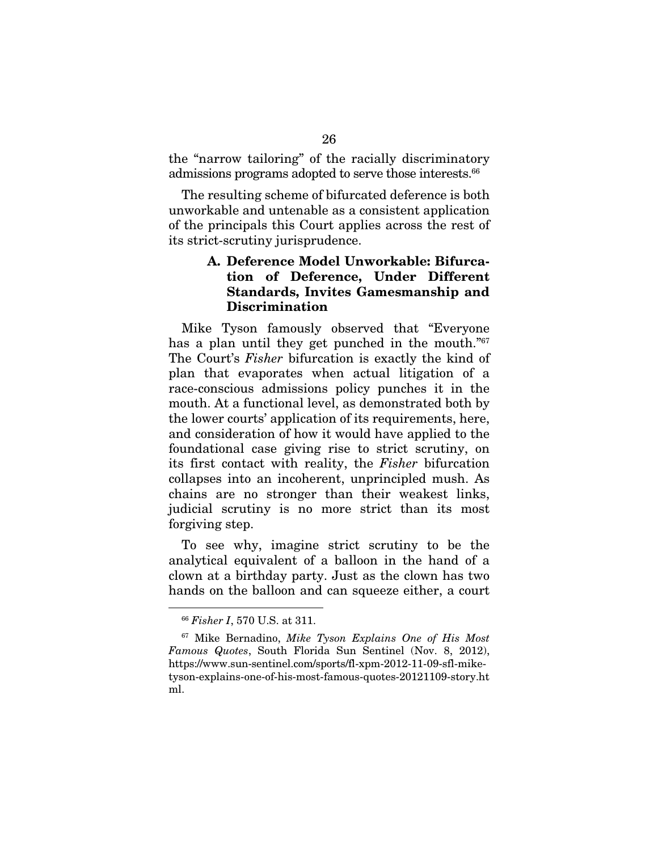the "narrow tailoring" of the racially discriminatory admissions programs adopted to serve those interests.<sup>66</sup>

The resulting scheme of bifurcated deference is both unworkable and untenable as a consistent application of the principals this Court applies across the rest of its strict-scrutiny jurisprudence.

## A. Deference Model Unworkable: Bifurcation of Deference, Under Different Standards, Invites Gamesmanship and Discrimination

Mike Tyson famously observed that "Everyone has a plan until they get punched in the mouth."<sup>67</sup> The Court's *Fisher* bifurcation is exactly the kind of plan that evaporates when actual litigation of a race-conscious admissions policy punches it in the mouth. At a functional level, as demonstrated both by the lower courts' application of its requirements, here, and consideration of how it would have applied to the foundational case giving rise to strict scrutiny, on its first contact with reality, the *Fisher* bifurcation collapses into an incoherent, unprincipled mush. As chains are no stronger than their weakest links, judicial scrutiny is no more strict than its most forgiving step.

To see why, imagine strict scrutiny to be the analytical equivalent of a balloon in the hand of a clown at a birthday party. Just as the clown has two hands on the balloon and can squeeze either, a court

<sup>66</sup> *Fisher I*, 570 U.S. at 311.

<sup>67</sup> Mike Bernadino, *Mike Tyson Explains One of His Most Famous Quotes*, South Florida Sun Sentinel (Nov. 8, 2012), https://www.sun-sentinel.com/sports/fl-xpm-2012-11-09-sfl-miketyson-explains-one-of-his-most-famous-quotes-20121109-story.ht ml.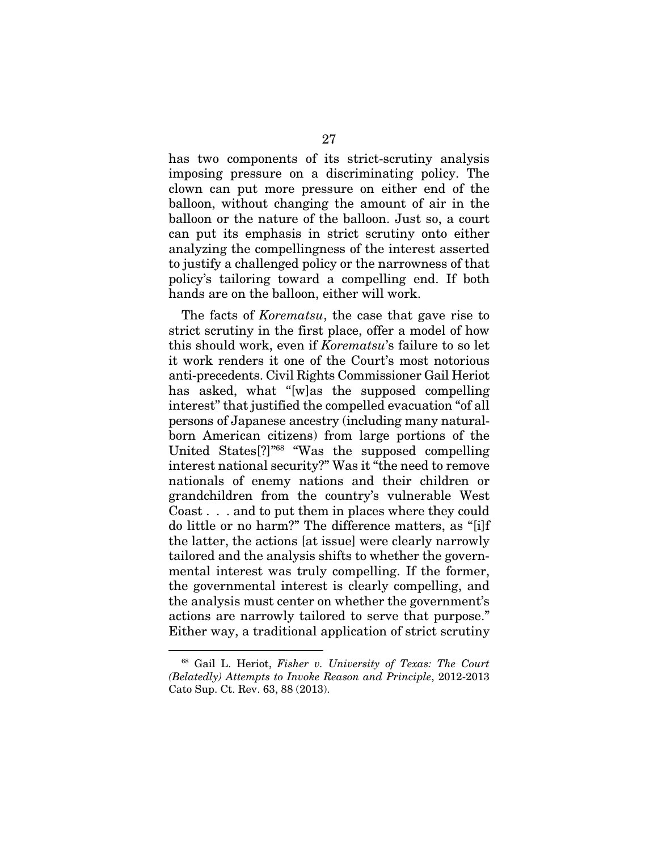has two components of its strict-scrutiny analysis imposing pressure on a discriminating policy. The clown can put more pressure on either end of the balloon, without changing the amount of air in the balloon or the nature of the balloon. Just so, a court can put its emphasis in strict scrutiny onto either analyzing the compellingness of the interest asserted to justify a challenged policy or the narrowness of that policy's tailoring toward a compelling end. If both hands are on the balloon, either will work.

The facts of *Korematsu*, the case that gave rise to strict scrutiny in the first place, offer a model of how this should work, even if *Korematsu*'s failure to so let it work renders it one of the Court's most notorious anti-precedents. Civil Rights Commissioner Gail Heriot has asked, what "[w]as the supposed compelling interest" that justified the compelled evacuation "of all persons of Japanese ancestry (including many naturalborn American citizens) from large portions of the United States[?]"68 "Was the supposed compelling interest national security?" Was it "the need to remove nationals of enemy nations and their children or grandchildren from the country's vulnerable West Coast . . . and to put them in places where they could do little or no harm?" The difference matters, as "[i]f the latter, the actions [at issue] were clearly narrowly tailored and the analysis shifts to whether the governmental interest was truly compelling. If the former, the governmental interest is clearly compelling, and the analysis must center on whether the government's actions are narrowly tailored to serve that purpose." Either way, a traditional application of strict scrutiny

<sup>68</sup> Gail L. Heriot, *Fisher v. University of Texas: The Court (Belatedly) Attempts to Invoke Reason and Principle*, 2012-2013 Cato Sup. Ct. Rev. 63, 88 (2013).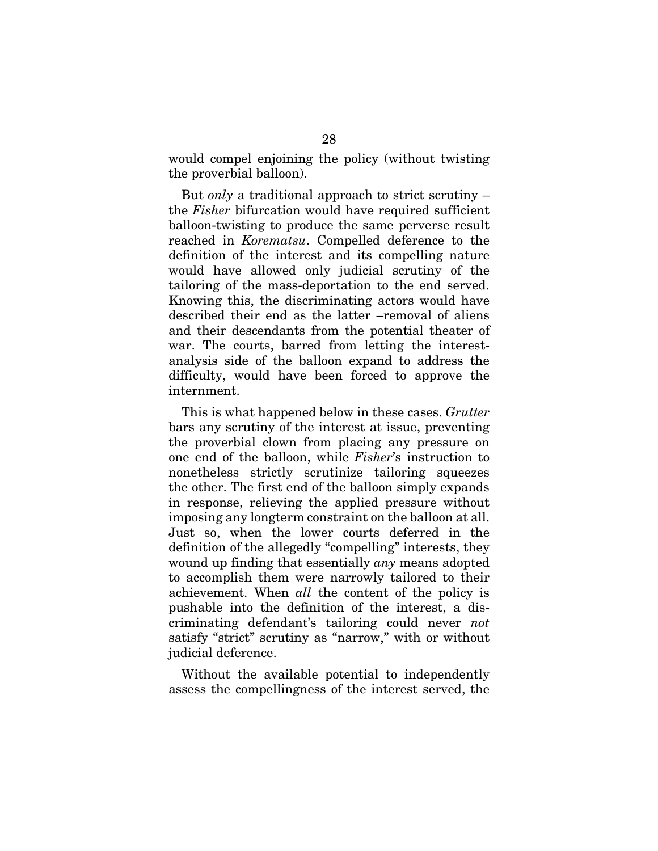would compel enjoining the policy (without twisting the proverbial balloon).

But *only* a traditional approach to strict scrutiny – the *Fisher* bifurcation would have required sufficient balloon-twisting to produce the same perverse result reached in *Korematsu*. Compelled deference to the definition of the interest and its compelling nature would have allowed only judicial scrutiny of the tailoring of the mass-deportation to the end served. Knowing this, the discriminating actors would have described their end as the latter –removal of aliens and their descendants from the potential theater of war. The courts, barred from letting the interestanalysis side of the balloon expand to address the difficulty, would have been forced to approve the internment.

This is what happened below in these cases. *Grutter* bars any scrutiny of the interest at issue, preventing the proverbial clown from placing any pressure on one end of the balloon, while *Fisher*'s instruction to nonetheless strictly scrutinize tailoring squeezes the other. The first end of the balloon simply expands in response, relieving the applied pressure without imposing any longterm constraint on the balloon at all. Just so, when the lower courts deferred in the definition of the allegedly "compelling" interests, they wound up finding that essentially *any* means adopted to accomplish them were narrowly tailored to their achievement. When *all* the content of the policy is pushable into the definition of the interest, a discriminating defendant's tailoring could never *not* satisfy "strict" scrutiny as "narrow," with or without judicial deference.

Without the available potential to independently assess the compellingness of the interest served, the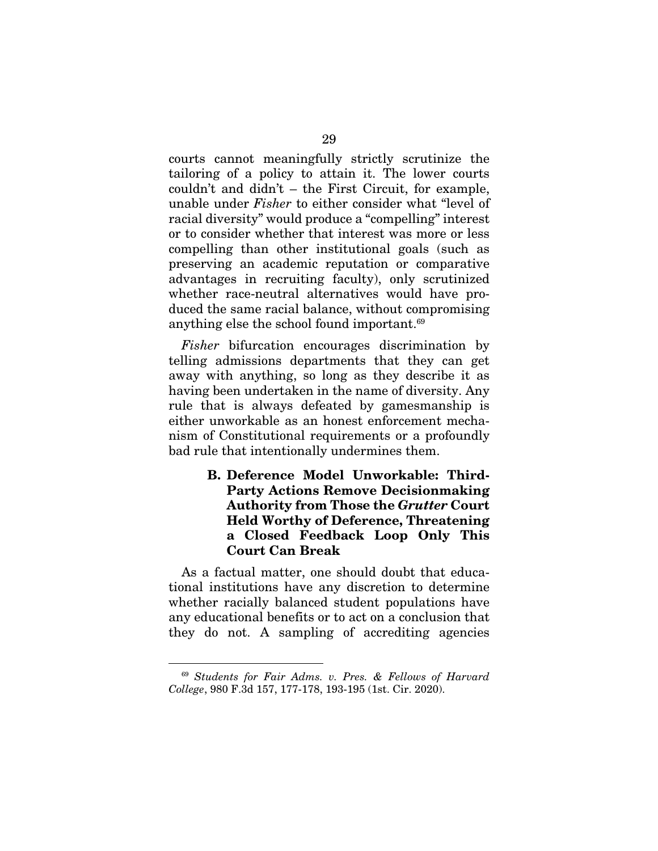courts cannot meaningfully strictly scrutinize the tailoring of a policy to attain it. The lower courts couldn't and didn't – the First Circuit, for example, unable under *Fisher* to either consider what "level of racial diversity" would produce a "compelling" interest or to consider whether that interest was more or less compelling than other institutional goals (such as preserving an academic reputation or comparative advantages in recruiting faculty), only scrutinized whether race-neutral alternatives would have produced the same racial balance, without compromising anything else the school found important.69

*Fisher* bifurcation encourages discrimination by telling admissions departments that they can get away with anything, so long as they describe it as having been undertaken in the name of diversity. Any rule that is always defeated by gamesmanship is either unworkable as an honest enforcement mechanism of Constitutional requirements or a profoundly bad rule that intentionally undermines them.

## B. Deference Model Unworkable: Third-Party Actions Remove Decisionmaking Authority from Those the *Grutter* Court Held Worthy of Deference, Threatening a Closed Feedback Loop Only This Court Can Break

As a factual matter, one should doubt that educational institutions have any discretion to determine whether racially balanced student populations have any educational benefits or to act on a conclusion that they do not. A sampling of accrediting agencies

<sup>69</sup> *Students for Fair Adms. v. Pres. & Fellows of Harvard College*, 980 F.3d 157, 177-178, 193-195 (1st. Cir. 2020).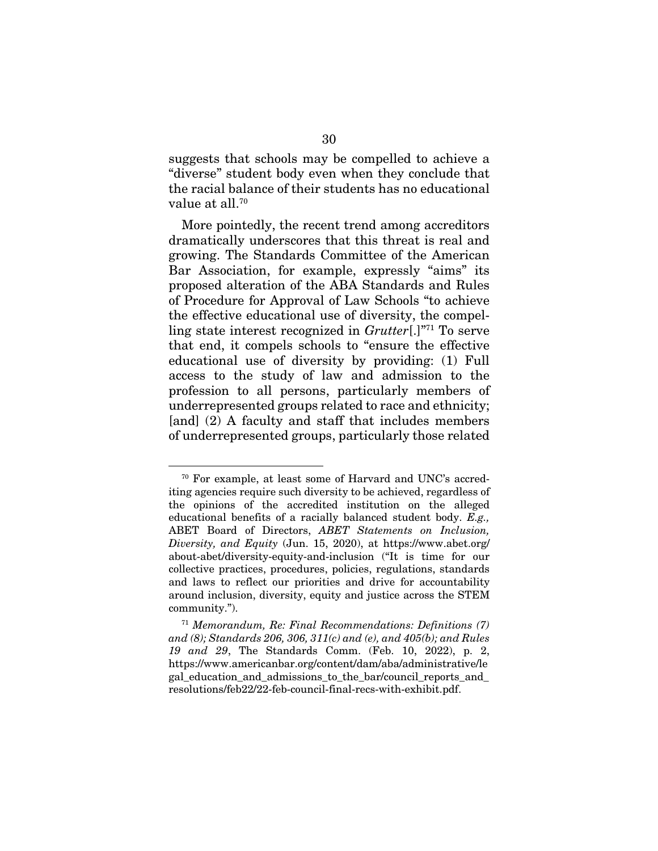suggests that schools may be compelled to achieve a "diverse" student body even when they conclude that the racial balance of their students has no educational value at all.70

More pointedly, the recent trend among accreditors dramatically underscores that this threat is real and growing. The Standards Committee of the American Bar Association, for example, expressly "aims" its proposed alteration of the ABA Standards and Rules of Procedure for Approval of Law Schools "to achieve the effective educational use of diversity, the compelling state interest recognized in *Grutter*[.]"71 To serve that end, it compels schools to "ensure the effective educational use of diversity by providing: (1) Full access to the study of law and admission to the profession to all persons, particularly members of underrepresented groups related to race and ethnicity; [and] (2) A faculty and staff that includes members of underrepresented groups, particularly those related

<sup>70</sup> For example, at least some of Harvard and UNC's accrediting agencies require such diversity to be achieved, regardless of the opinions of the accredited institution on the alleged educational benefits of a racially balanced student body. *E.g.,*  ABET Board of Directors, *ABET Statements on Inclusion, Diversity, and Equity* (Jun. 15, 2020), at https://www.abet.org/ about-abet/diversity-equity-and-inclusion ("It is time for our collective practices, procedures, policies, regulations, standards and laws to reflect our priorities and drive for accountability around inclusion, diversity, equity and justice across the STEM community.").

<sup>71</sup> *Memorandum, Re: Final Recommendations: Definitions (7) and (8); Standards 206, 306, 311(c) and (e), and 405(b); and Rules 19 and 29*, The Standards Comm. (Feb. 10, 2022), p. 2, https://www.americanbar.org/content/dam/aba/administrative/le gal education and admissions to the bar/council reports and resolutions/feb22/22-feb-council-final-recs-with-exhibit.pdf.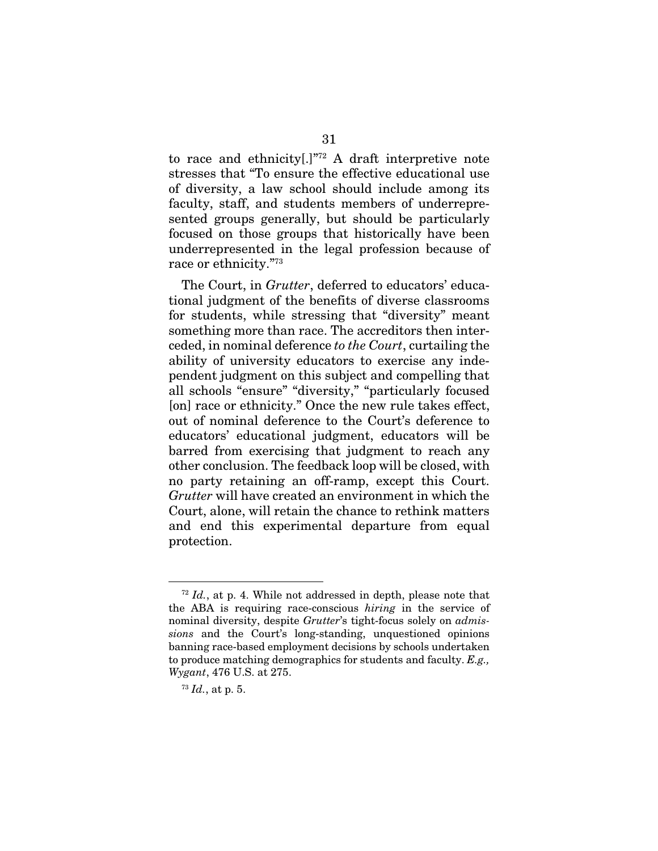to race and ethnicity[.]"72 A draft interpretive note stresses that "To ensure the effective educational use of diversity, a law school should include among its faculty, staff, and students members of underrepresented groups generally, but should be particularly focused on those groups that historically have been underrepresented in the legal profession because of race or ethnicity."73

The Court, in *Grutter*, deferred to educators' educational judgment of the benefits of diverse classrooms for students, while stressing that "diversity" meant something more than race. The accreditors then interceded, in nominal deference *to the Court*, curtailing the ability of university educators to exercise any independent judgment on this subject and compelling that all schools "ensure" "diversity," "particularly focused [on] race or ethnicity." Once the new rule takes effect, out of nominal deference to the Court's deference to educators' educational judgment, educators will be barred from exercising that judgment to reach any other conclusion. The feedback loop will be closed, with no party retaining an off-ramp, except this Court. *Grutter* will have created an environment in which the Court, alone, will retain the chance to rethink matters and end this experimental departure from equal protection.

<sup>72</sup> *Id.*, at p. 4. While not addressed in depth, please note that the ABA is requiring race-conscious *hiring* in the service of nominal diversity, despite *Grutter*'s tight-focus solely on *admissions* and the Court's long-standing, unquestioned opinions banning race-based employment decisions by schools undertaken to produce matching demographics for students and faculty. *E.g., Wygant*, 476 U.S. at 275.

<sup>73</sup> *Id.*, at p. 5.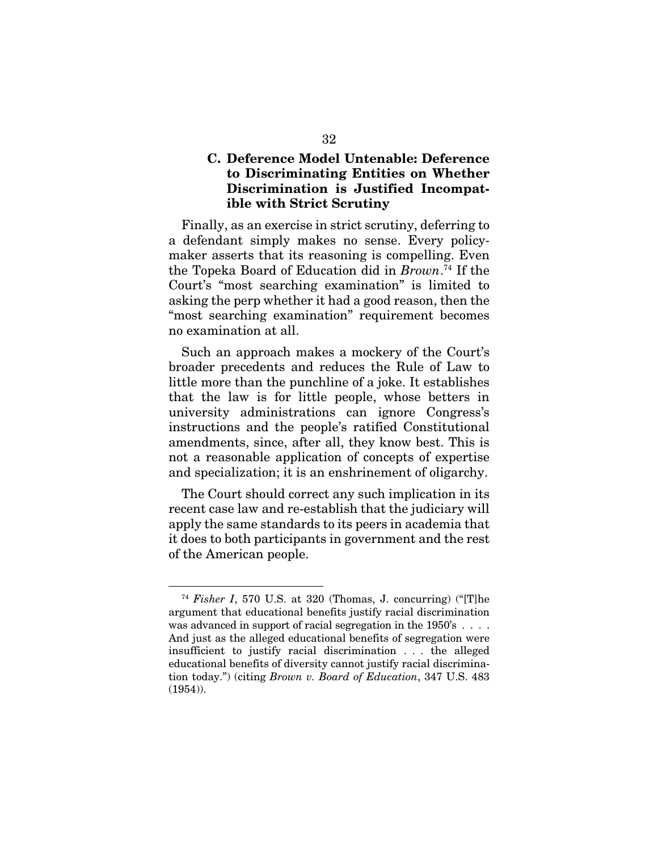## C. Deference Model Untenable: Deference to Discriminating Entities on Whether Discrimination is Justified Incompatible with Strict Scrutiny

Finally, as an exercise in strict scrutiny, deferring to a defendant simply makes no sense. Every policymaker asserts that its reasoning is compelling. Even the Topeka Board of Education did in *Brown*. 74 If the Court's "most searching examination" is limited to asking the perp whether it had a good reason, then the "most searching examination" requirement becomes no examination at all.

Such an approach makes a mockery of the Court's broader precedents and reduces the Rule of Law to little more than the punchline of a joke. It establishes that the law is for little people, whose betters in university administrations can ignore Congress's instructions and the people's ratified Constitutional amendments, since, after all, they know best. This is not a reasonable application of concepts of expertise and specialization; it is an enshrinement of oligarchy.

The Court should correct any such implication in its recent case law and re-establish that the judiciary will apply the same standards to its peers in academia that it does to both participants in government and the rest of the American people.

<sup>74</sup> *Fisher I*, 570 U.S. at 320 (Thomas, J. concurring) ("[T]he argument that educational benefits justify racial discrimination was advanced in support of racial segregation in the 1950's . . . . And just as the alleged educational benefits of segregation were insufficient to justify racial discrimination . . . the alleged educational benefits of diversity cannot justify racial discrimination today.") (citing *Brown v. Board of Education*, 347 U.S. 483 (1954)).